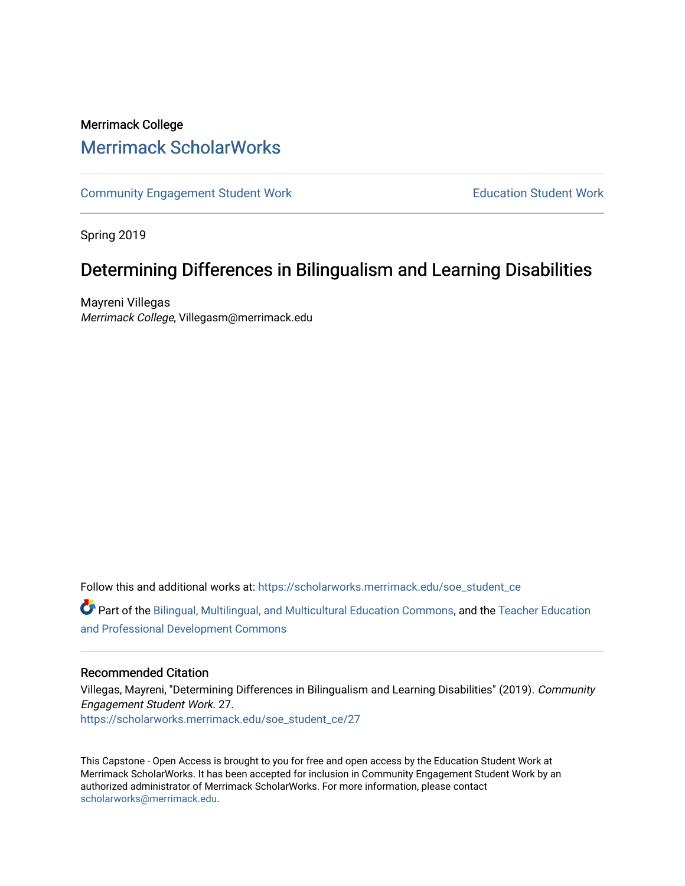# Merrimack College [Merrimack ScholarWorks](https://scholarworks.merrimack.edu/)

[Community Engagement Student Work](https://scholarworks.merrimack.edu/soe_student_ce) **Education Student Work** Education Student Work

Spring 2019

# Determining Differences in Bilingualism and Learning Disabilities

Mayreni Villegas Merrimack College, Villegasm@merrimack.edu

Follow this and additional works at: [https://scholarworks.merrimack.edu/soe\\_student\\_ce](https://scholarworks.merrimack.edu/soe_student_ce?utm_source=scholarworks.merrimack.edu%2Fsoe_student_ce%2F27&utm_medium=PDF&utm_campaign=PDFCoverPages) 

Part of the [Bilingual, Multilingual, and Multicultural Education Commons,](http://network.bepress.com/hgg/discipline/785?utm_source=scholarworks.merrimack.edu%2Fsoe_student_ce%2F27&utm_medium=PDF&utm_campaign=PDFCoverPages) and the [Teacher Education](http://network.bepress.com/hgg/discipline/803?utm_source=scholarworks.merrimack.edu%2Fsoe_student_ce%2F27&utm_medium=PDF&utm_campaign=PDFCoverPages) [and Professional Development Commons](http://network.bepress.com/hgg/discipline/803?utm_source=scholarworks.merrimack.edu%2Fsoe_student_ce%2F27&utm_medium=PDF&utm_campaign=PDFCoverPages)

# Recommended Citation

Villegas, Mayreni, "Determining Differences in Bilingualism and Learning Disabilities" (2019). Community Engagement Student Work. 27. [https://scholarworks.merrimack.edu/soe\\_student\\_ce/27](https://scholarworks.merrimack.edu/soe_student_ce/27?utm_source=scholarworks.merrimack.edu%2Fsoe_student_ce%2F27&utm_medium=PDF&utm_campaign=PDFCoverPages)

This Capstone - Open Access is brought to you for free and open access by the Education Student Work at Merrimack ScholarWorks. It has been accepted for inclusion in Community Engagement Student Work by an authorized administrator of Merrimack ScholarWorks. For more information, please contact [scholarworks@merrimack.edu](mailto:scholarworks@merrimack.edu).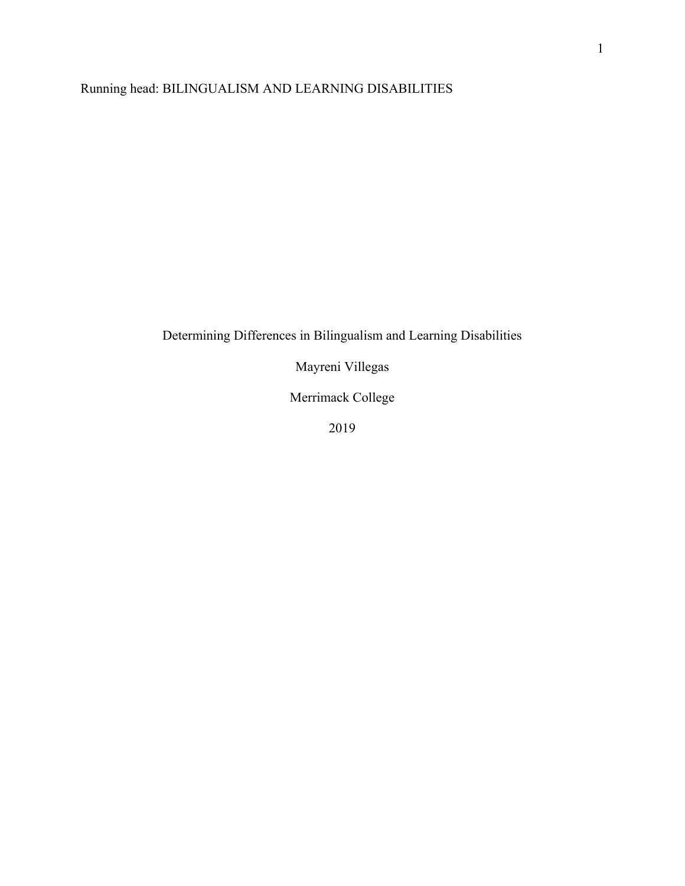# Running head: BILINGUALISM AND LEARNING DISABILITIES

# Determining Differences in Bilingualism and Learning Disabilities

Mayreni Villegas

Merrimack College

2019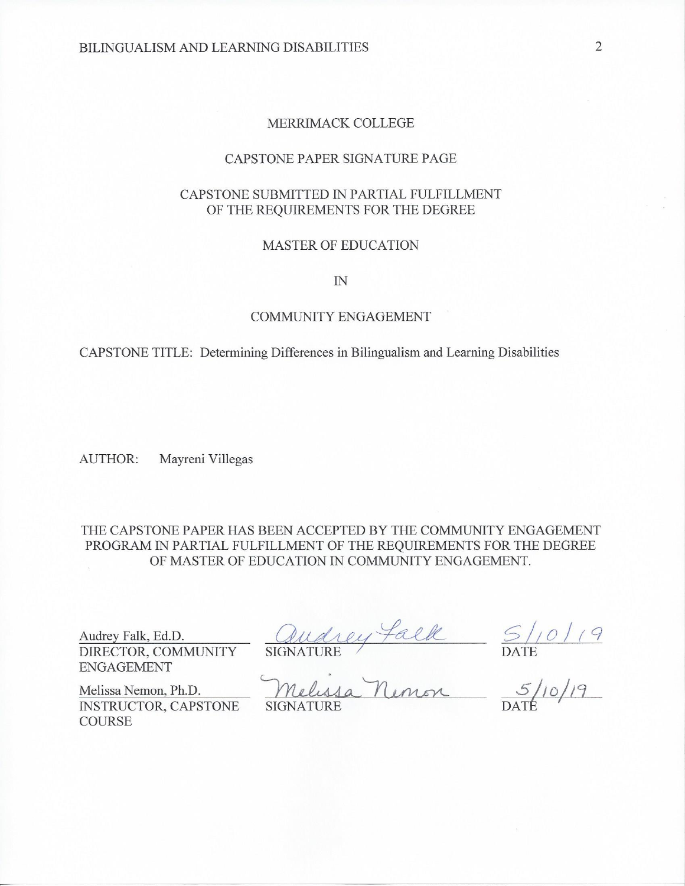# MERRIMACK COLLEGE

### CAPSTONE PAPER SIGNATURE PAGE

# CAPSTONE SUBMITTED IN PARTIAL FULFILLMENT OF THE REQUIREMENTS FOR THE DEGREE

### **MASTER OF EDUCATION**

 $I\!N$ 

# **COMMUNITY ENGAGEMENT**

CAPSTONE TITLE: Determining Differences in Bilingualism and Learning Disabilities

**AUTHOR:** Mayreni Villegas

THE CAPSTONE PAPER HAS BEEN ACCEPTED BY THE COMMUNITY ENGAGEMENT PROGRAM IN PARTIAL FULFILLMENT OF THE REQUIREMENTS FOR THE DEGREE OF MASTER OF EDUCATION IN COMMUNITY ENGAGEMENT.

Audrey Falk, Ed.D. DIRECTOR, COMMUNITY **ENGAGEMENT** 

Melissa Nemon, Ph.D.

**COURSE** 

audrey falk 5/10/19<br>SIGNATURE DATE DATE

**SIGNATURE** 

INSTRUCTOR, CAPSTONE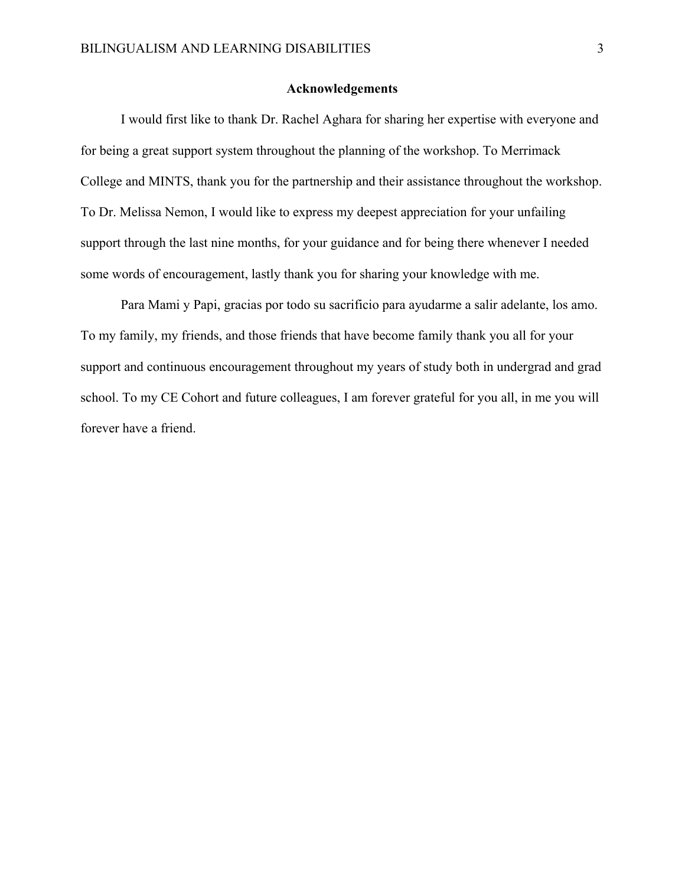### **Acknowledgements**

 I would first like to thank Dr. Rachel Aghara for sharing her expertise with everyone and for being a great support system throughout the planning of the workshop. To Merrimack College and MINTS, thank you for the partnership and their assistance throughout the workshop. To Dr. Melissa Nemon, I would like to express my deepest appreciation for your unfailing support through the last nine months, for your guidance and for being there whenever I needed some words of encouragement, lastly thank you for sharing your knowledge with me.

 Para Mami y Papi, gracias por todo su sacrificio para ayudarme a salir adelante, los amo. To my family, my friends, and those friends that have become family thank you all for your support and continuous encouragement throughout my years of study both in undergrad and grad school. To my CE Cohort and future colleagues, I am forever grateful for you all, in me you will forever have a friend.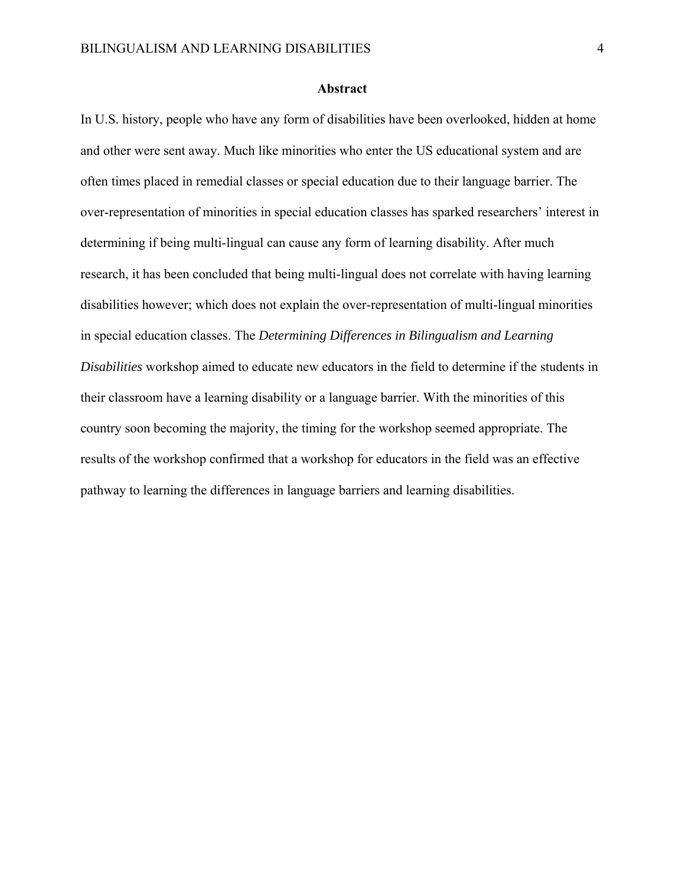### **Abstract**

In U.S. history, people who have any form of disabilities have been overlooked, hidden at home and other were sent away. Much like minorities who enter the US educational system and are often times placed in remedial classes or special education due to their language barrier. The over-representation of minorities in special education classes has sparked researchers' interest in determining if being multi-lingual can cause any form of learning disability. After much research, it has been concluded that being multi-lingual does not correlate with having learning disabilities however; which does not explain the over-representation of multi-lingual minorities in special education classes. The *Determining Differences in Bilingualism and Learning Disabilities* workshop aimed to educate new educators in the field to determine if the students in their classroom have a learning disability or a language barrier. With the minorities of this country soon becoming the majority, the timing for the workshop seemed appropriate. The results of the workshop confirmed that a workshop for educators in the field was an effective pathway to learning the differences in language barriers and learning disabilities.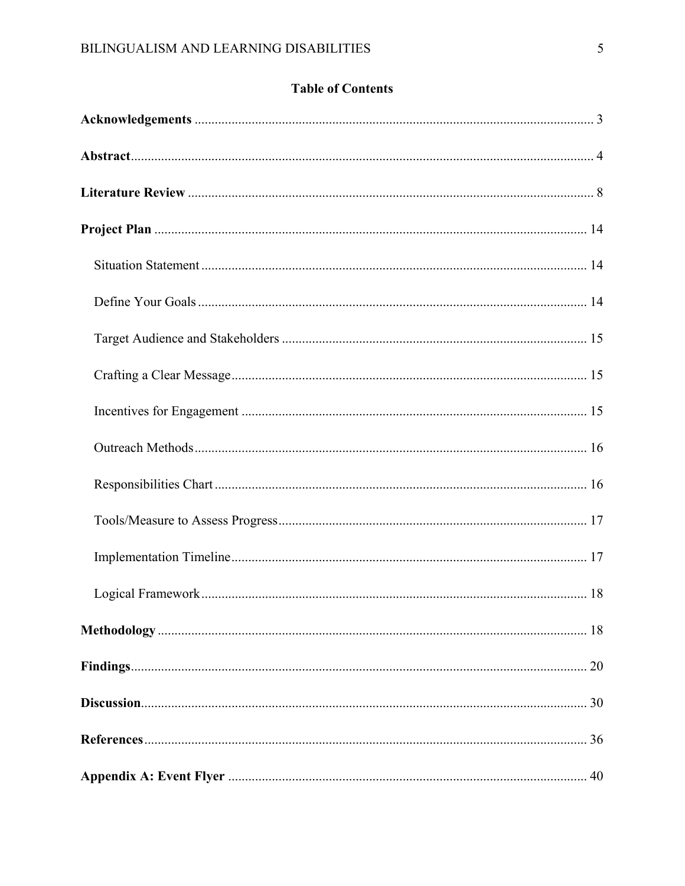# **Table of Contents**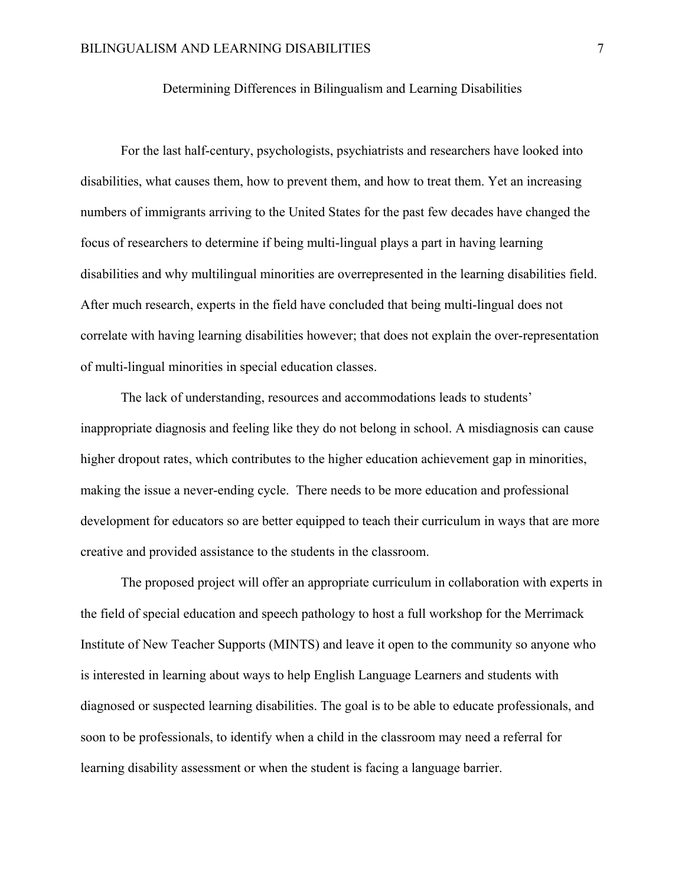# Determining Differences in Bilingualism and Learning Disabilities

 For the last half-century, psychologists, psychiatrists and researchers have looked into disabilities, what causes them, how to prevent them, and how to treat them. Yet an increasing numbers of immigrants arriving to the United States for the past few decades have changed the focus of researchers to determine if being multi-lingual plays a part in having learning disabilities and why multilingual minorities are overrepresented in the learning disabilities field. After much research, experts in the field have concluded that being multi-lingual does not correlate with having learning disabilities however; that does not explain the over-representation of multi-lingual minorities in special education classes.

 The lack of understanding, resources and accommodations leads to students' inappropriate diagnosis and feeling like they do not belong in school. A misdiagnosis can cause higher dropout rates, which contributes to the higher education achievement gap in minorities, making the issue a never-ending cycle. There needs to be more education and professional development for educators so are better equipped to teach their curriculum in ways that are more creative and provided assistance to the students in the classroom.

 The proposed project will offer an appropriate curriculum in collaboration with experts in the field of special education and speech pathology to host a full workshop for the Merrimack Institute of New Teacher Supports (MINTS) and leave it open to the community so anyone who is interested in learning about ways to help English Language Learners and students with diagnosed or suspected learning disabilities. The goal is to be able to educate professionals, and soon to be professionals, to identify when a child in the classroom may need a referral for learning disability assessment or when the student is facing a language barrier.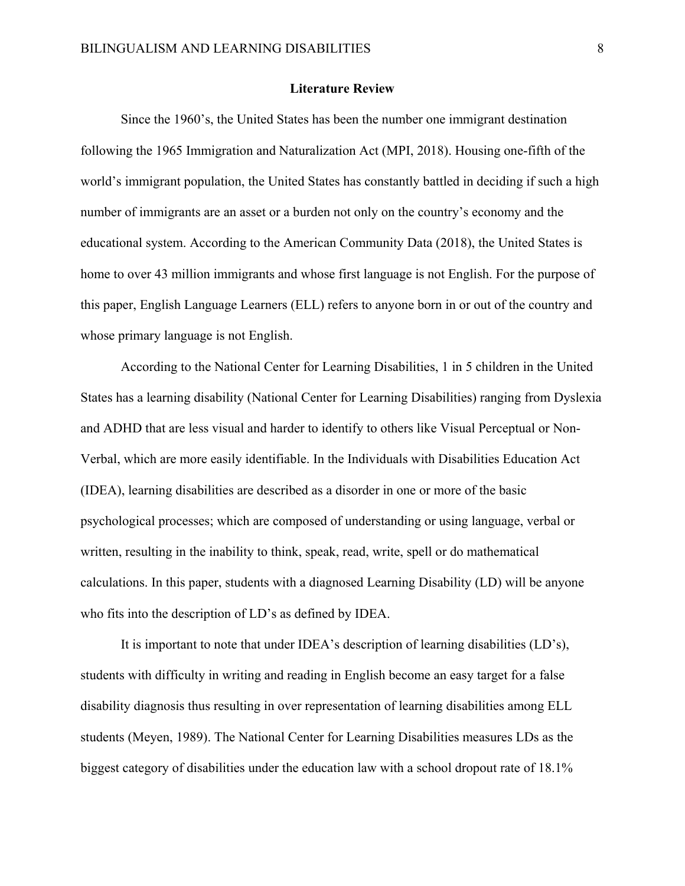### **Literature Review**

 Since the 1960's, the United States has been the number one immigrant destination following the 1965 Immigration and Naturalization Act (MPI, 2018). Housing one-fifth of the world's immigrant population, the United States has constantly battled in deciding if such a high number of immigrants are an asset or a burden not only on the country's economy and the educational system. According to the American Community Data (2018), the United States is home to over 43 million immigrants and whose first language is not English. For the purpose of this paper, English Language Learners (ELL) refers to anyone born in or out of the country and whose primary language is not English.

According to the National Center for Learning Disabilities, 1 in 5 children in the United States has a learning disability (National Center for Learning Disabilities) ranging from Dyslexia and ADHD that are less visual and harder to identify to others like Visual Perceptual or Non-Verbal, which are more easily identifiable. In the Individuals with Disabilities Education Act (IDEA), learning disabilities are described as a disorder in one or more of the basic psychological processes; which are composed of understanding or using language, verbal or written, resulting in the inability to think, speak, read, write, spell or do mathematical calculations. In this paper, students with a diagnosed Learning Disability (LD) will be anyone who fits into the description of LD's as defined by IDEA.

It is important to note that under IDEA's description of learning disabilities (LD's), students with difficulty in writing and reading in English become an easy target for a false disability diagnosis thus resulting in over representation of learning disabilities among ELL students (Meyen, 1989). The National Center for Learning Disabilities measures LDs as the biggest category of disabilities under the education law with a school dropout rate of 18.1%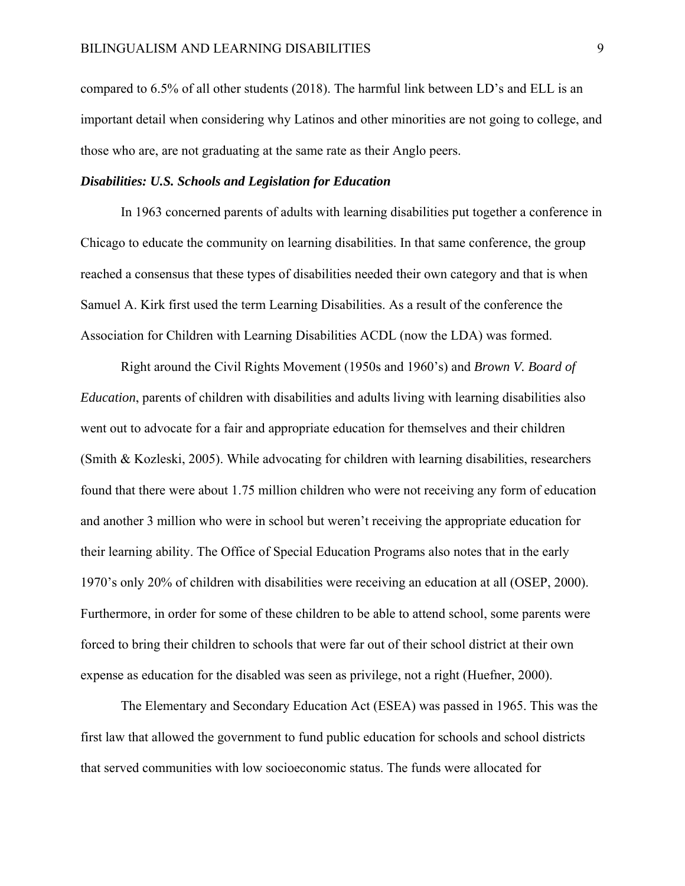compared to 6.5% of all other students (2018). The harmful link between LD's and ELL is an important detail when considering why Latinos and other minorities are not going to college, and those who are, are not graduating at the same rate as their Anglo peers.

## *Disabilities: U.S. Schools and Legislation for Education*

In 1963 concerned parents of adults with learning disabilities put together a conference in Chicago to educate the community on learning disabilities. In that same conference, the group reached a consensus that these types of disabilities needed their own category and that is when Samuel A. Kirk first used the term Learning Disabilities. As a result of the conference the Association for Children with Learning Disabilities ACDL (now the LDA) was formed.

Right around the Civil Rights Movement (1950s and 1960's) and *Brown V. Board of Education*, parents of children with disabilities and adults living with learning disabilities also went out to advocate for a fair and appropriate education for themselves and their children (Smith & Kozleski, 2005). While advocating for children with learning disabilities, researchers found that there were about 1.75 million children who were not receiving any form of education and another 3 million who were in school but weren't receiving the appropriate education for their learning ability. The Office of Special Education Programs also notes that in the early 1970's only 20% of children with disabilities were receiving an education at all (OSEP, 2000). Furthermore, in order for some of these children to be able to attend school, some parents were forced to bring their children to schools that were far out of their school district at their own expense as education for the disabled was seen as privilege, not a right (Huefner, 2000).

The Elementary and Secondary Education Act (ESEA) was passed in 1965. This was the first law that allowed the government to fund public education for schools and school districts that served communities with low socioeconomic status. The funds were allocated for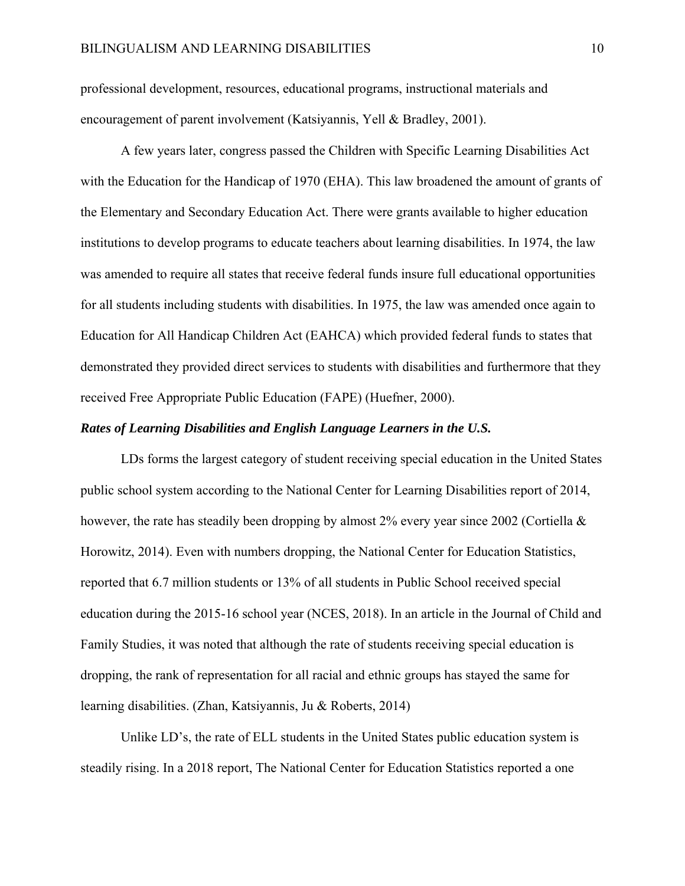professional development, resources, educational programs, instructional materials and encouragement of parent involvement (Katsiyannis, Yell & Bradley, 2001).

 A few years later, congress passed the Children with Specific Learning Disabilities Act with the Education for the Handicap of 1970 (EHA). This law broadened the amount of grants of the Elementary and Secondary Education Act. There were grants available to higher education institutions to develop programs to educate teachers about learning disabilities. In 1974, the law was amended to require all states that receive federal funds insure full educational opportunities for all students including students with disabilities. In 1975, the law was amended once again to Education for All Handicap Children Act (EAHCA) which provided federal funds to states that demonstrated they provided direct services to students with disabilities and furthermore that they received Free Appropriate Public Education (FAPE) (Huefner, 2000).

## *Rates of Learning Disabilities and English Language Learners in the U.S.*

LDs forms the largest category of student receiving special education in the United States public school system according to the National Center for Learning Disabilities report of 2014, however, the rate has steadily been dropping by almost 2% every year since 2002 (Cortiella & Horowitz, 2014). Even with numbers dropping, the National Center for Education Statistics, reported that 6.7 million students or 13% of all students in Public School received special education during the 2015-16 school year (NCES, 2018). In an article in the Journal of Child and Family Studies, it was noted that although the rate of students receiving special education is dropping, the rank of representation for all racial and ethnic groups has stayed the same for learning disabilities. (Zhan, Katsiyannis, Ju & Roberts, 2014)

Unlike LD's, the rate of ELL students in the United States public education system is steadily rising. In a 2018 report, The National Center for Education Statistics reported a one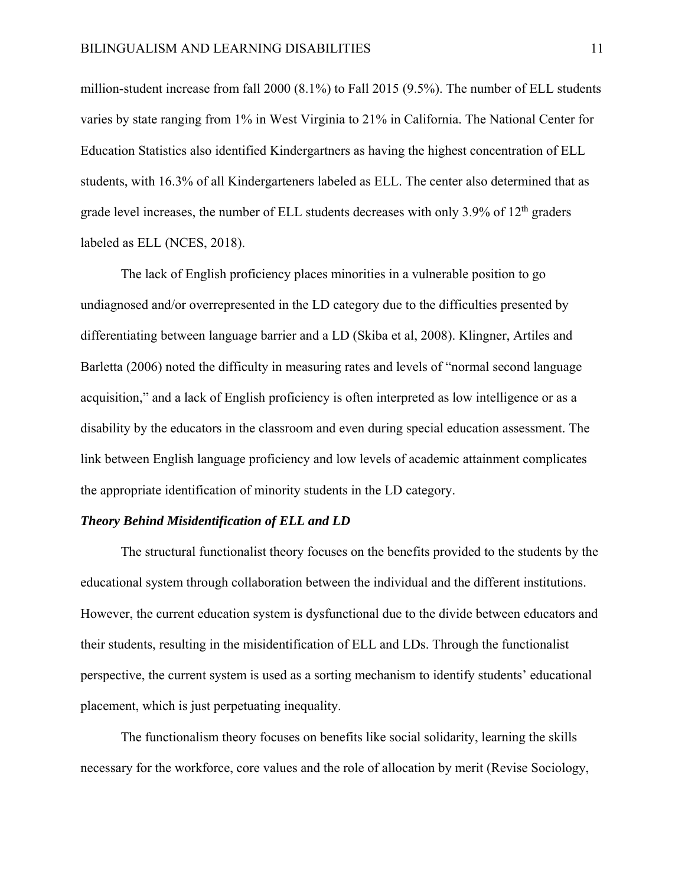million-student increase from fall 2000 (8.1%) to Fall 2015 (9.5%). The number of ELL students varies by state ranging from 1% in West Virginia to 21% in California. The National Center for Education Statistics also identified Kindergartners as having the highest concentration of ELL students, with 16.3% of all Kindergarteners labeled as ELL. The center also determined that as grade level increases, the number of ELL students decreases with only  $3.9\%$  of  $12<sup>th</sup>$  graders labeled as ELL (NCES, 2018).

The lack of English proficiency places minorities in a vulnerable position to go undiagnosed and/or overrepresented in the LD category due to the difficulties presented by differentiating between language barrier and a LD (Skiba et al, 2008). Klingner, Artiles and Barletta (2006) noted the difficulty in measuring rates and levels of "normal second language acquisition," and a lack of English proficiency is often interpreted as low intelligence or as a disability by the educators in the classroom and even during special education assessment. The link between English language proficiency and low levels of academic attainment complicates the appropriate identification of minority students in the LD category.

### *Theory Behind Misidentification of ELL and LD*

 The structural functionalist theory focuses on the benefits provided to the students by the educational system through collaboration between the individual and the different institutions. However, the current education system is dysfunctional due to the divide between educators and their students, resulting in the misidentification of ELL and LDs. Through the functionalist perspective, the current system is used as a sorting mechanism to identify students' educational placement, which is just perpetuating inequality.

 The functionalism theory focuses on benefits like social solidarity, learning the skills necessary for the workforce, core values and the role of allocation by merit (Revise Sociology,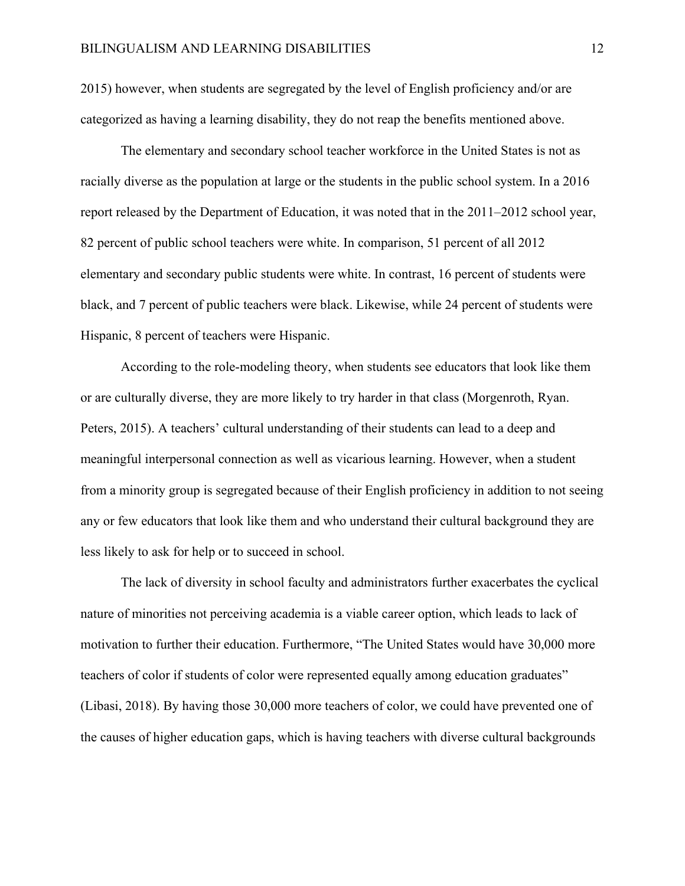2015) however, when students are segregated by the level of English proficiency and/or are categorized as having a learning disability, they do not reap the benefits mentioned above.

The elementary and secondary school teacher workforce in the United States is not as racially diverse as the population at large or the students in the public school system. In a 2016 report released by the Department of Education, it was noted that in the 2011–2012 school year, 82 percent of public school teachers were white. In comparison, 51 percent of all 2012 elementary and secondary public students were white. In contrast, 16 percent of students were black, and 7 percent of public teachers were black. Likewise, while 24 percent of students were Hispanic, 8 percent of teachers were Hispanic.

 According to the role-modeling theory, when students see educators that look like them or are culturally diverse, they are more likely to try harder in that class (Morgenroth, Ryan. Peters, 2015). A teachers' cultural understanding of their students can lead to a deep and meaningful interpersonal connection as well as vicarious learning. However, when a student from a minority group is segregated because of their English proficiency in addition to not seeing any or few educators that look like them and who understand their cultural background they are less likely to ask for help or to succeed in school.

The lack of diversity in school faculty and administrators further exacerbates the cyclical nature of minorities not perceiving academia is a viable career option, which leads to lack of motivation to further their education. Furthermore, "The United States would have 30,000 more teachers of color if students of color were represented equally among education graduates" (Libasi, 2018). By having those 30,000 more teachers of color, we could have prevented one of the causes of higher education gaps, which is having teachers with diverse cultural backgrounds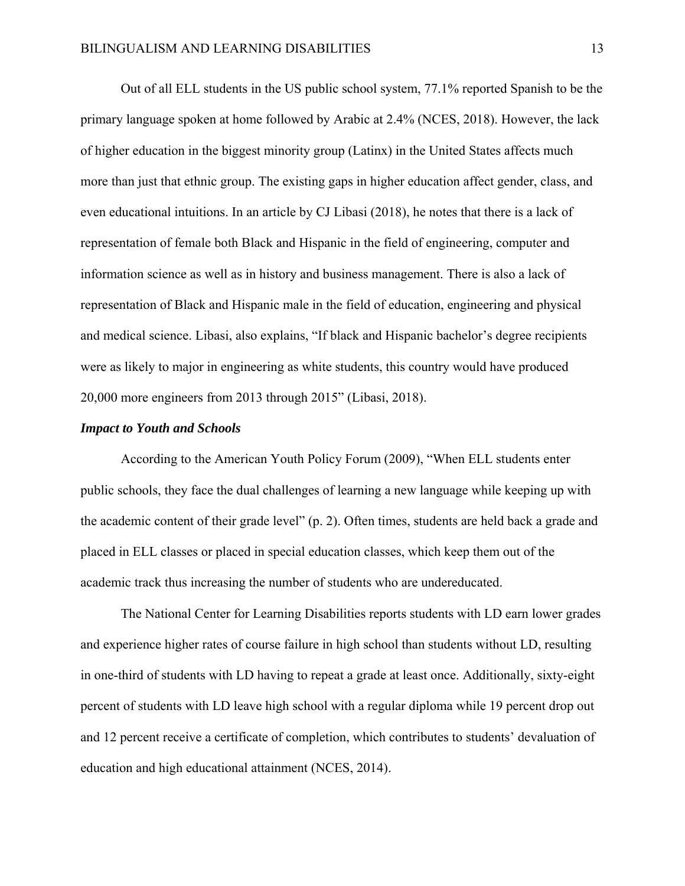Out of all ELL students in the US public school system, 77.1% reported Spanish to be the primary language spoken at home followed by Arabic at 2.4% (NCES, 2018). However, the lack of higher education in the biggest minority group (Latinx) in the United States affects much more than just that ethnic group. The existing gaps in higher education affect gender, class, and even educational intuitions. In an article by CJ Libasi (2018), he notes that there is a lack of representation of female both Black and Hispanic in the field of engineering, computer and information science as well as in history and business management. There is also a lack of representation of Black and Hispanic male in the field of education, engineering and physical and medical science. Libasi, also explains, "If black and Hispanic bachelor's degree recipients were as likely to major in engineering as white students, this country would have produced 20,000 more engineers from 2013 through 2015" (Libasi, 2018).

### *Impact to Youth and Schools*

 According to the American Youth Policy Forum (2009), "When ELL students enter public schools, they face the dual challenges of learning a new language while keeping up with the academic content of their grade level" (p. 2). Often times, students are held back a grade and placed in ELL classes or placed in special education classes, which keep them out of the academic track thus increasing the number of students who are undereducated.

 The National Center for Learning Disabilities reports students with LD earn lower grades and experience higher rates of course failure in high school than students without LD, resulting in one-third of students with LD having to repeat a grade at least once. Additionally, sixty-eight percent of students with LD leave high school with a regular diploma while 19 percent drop out and 12 percent receive a certificate of completion, which contributes to students' devaluation of education and high educational attainment (NCES, 2014).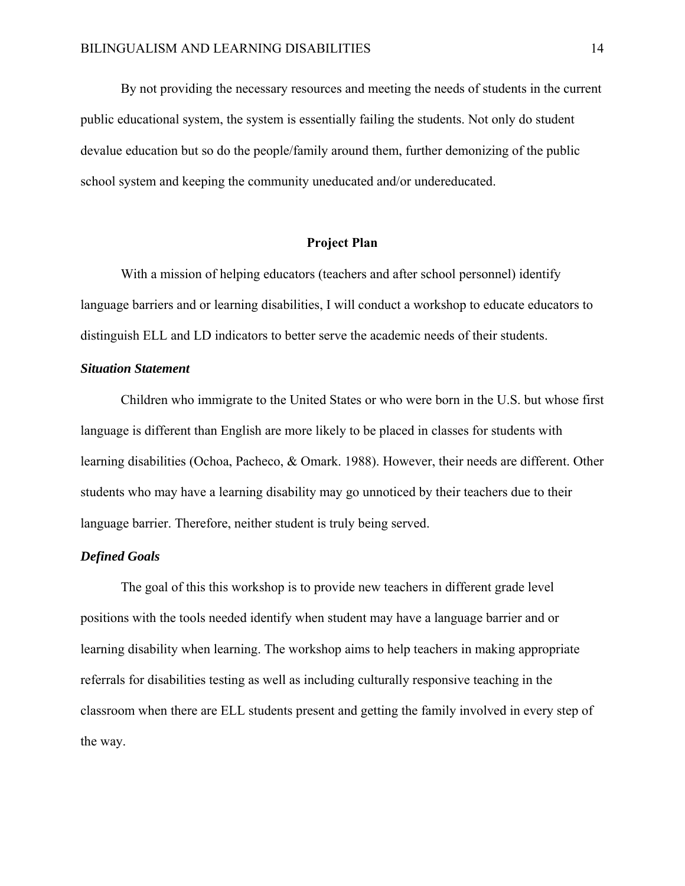By not providing the necessary resources and meeting the needs of students in the current public educational system, the system is essentially failing the students. Not only do student devalue education but so do the people/family around them, further demonizing of the public school system and keeping the community uneducated and/or undereducated.

### **Project Plan**

 With a mission of helping educators (teachers and after school personnel) identify language barriers and or learning disabilities, I will conduct a workshop to educate educators to distinguish ELL and LD indicators to better serve the academic needs of their students.

# *Situation Statement*

Children who immigrate to the United States or who were born in the U.S. but whose first language is different than English are more likely to be placed in classes for students with learning disabilities (Ochoa, Pacheco, & Omark. 1988). However, their needs are different. Other students who may have a learning disability may go unnoticed by their teachers due to their language barrier. Therefore, neither student is truly being served.

# *Defined Goals*

 The goal of this this workshop is to provide new teachers in different grade level positions with the tools needed identify when student may have a language barrier and or learning disability when learning. The workshop aims to help teachers in making appropriate referrals for disabilities testing as well as including culturally responsive teaching in the classroom when there are ELL students present and getting the family involved in every step of the way.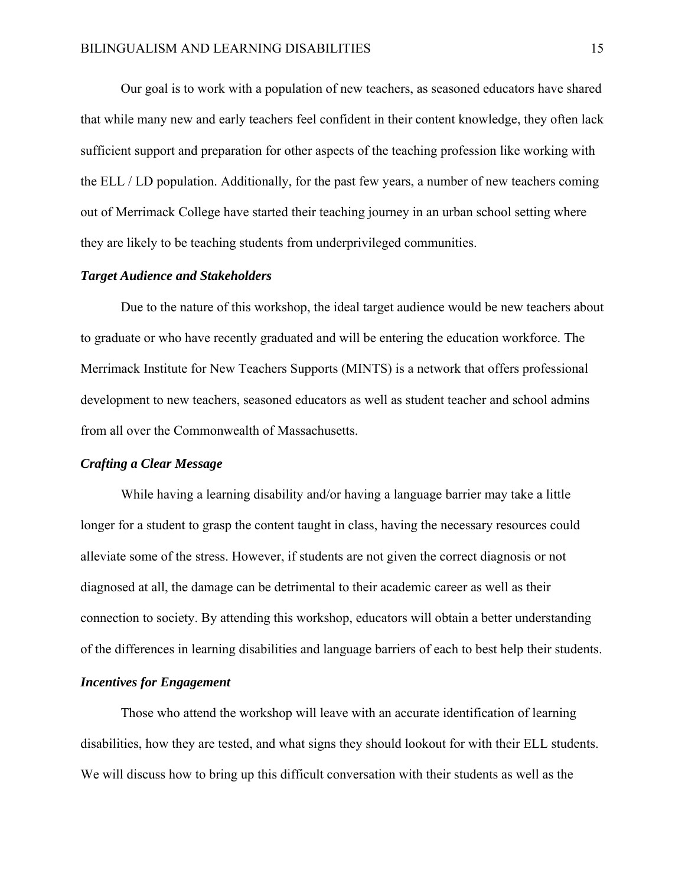Our goal is to work with a population of new teachers, as seasoned educators have shared that while many new and early teachers feel confident in their content knowledge, they often lack sufficient support and preparation for other aspects of the teaching profession like working with the ELL / LD population. Additionally, for the past few years, a number of new teachers coming out of Merrimack College have started their teaching journey in an urban school setting where they are likely to be teaching students from underprivileged communities.

### *Target Audience and Stakeholders*

 Due to the nature of this workshop, the ideal target audience would be new teachers about to graduate or who have recently graduated and will be entering the education workforce. The Merrimack Institute for New Teachers Supports (MINTS) is a network that offers professional development to new teachers, seasoned educators as well as student teacher and school admins from all over the Commonwealth of Massachusetts.

## *Crafting a Clear Message*

While having a learning disability and/or having a language barrier may take a little longer for a student to grasp the content taught in class, having the necessary resources could alleviate some of the stress. However, if students are not given the correct diagnosis or not diagnosed at all, the damage can be detrimental to their academic career as well as their connection to society. By attending this workshop, educators will obtain a better understanding of the differences in learning disabilities and language barriers of each to best help their students.

# *Incentives for Engagement*

 Those who attend the workshop will leave with an accurate identification of learning disabilities, how they are tested, and what signs they should lookout for with their ELL students. We will discuss how to bring up this difficult conversation with their students as well as the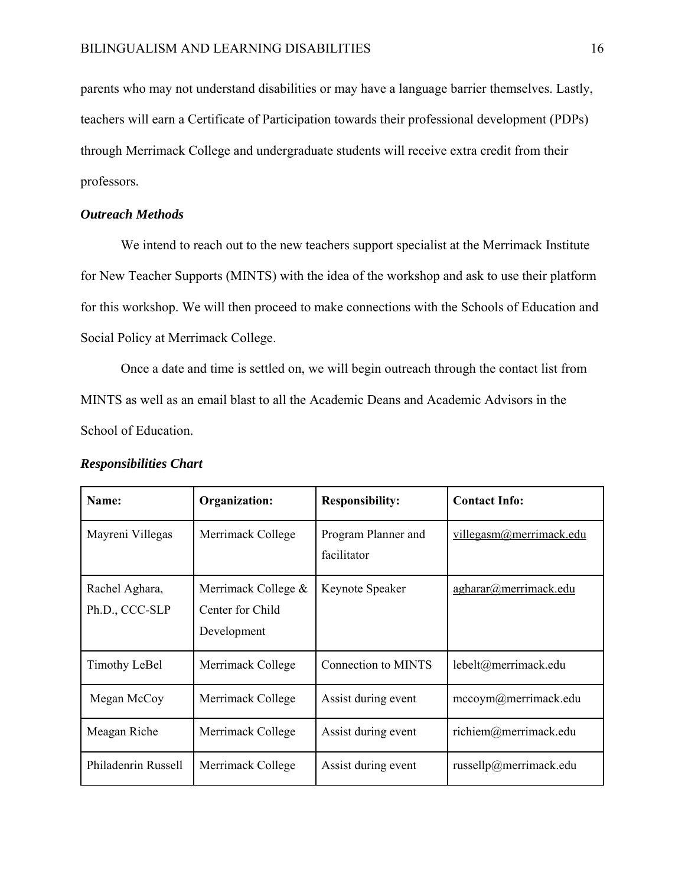parents who may not understand disabilities or may have a language barrier themselves. Lastly, teachers will earn a Certificate of Participation towards their professional development (PDPs) through Merrimack College and undergraduate students will receive extra credit from their professors.

## *Outreach Methods*

 We intend to reach out to the new teachers support specialist at the Merrimack Institute for New Teacher Supports (MINTS) with the idea of the workshop and ask to use their platform for this workshop. We will then proceed to make connections with the Schools of Education and Social Policy at Merrimack College.

 Once a date and time is settled on, we will begin outreach through the contact list from MINTS as well as an email blast to all the Academic Deans and Academic Advisors in the School of Education.

| Name:                            | Organization:                                          | <b>Responsibility:</b>             | <b>Contact Info:</b>       |
|----------------------------------|--------------------------------------------------------|------------------------------------|----------------------------|
| Mayreni Villegas                 | Merrimack College                                      | Program Planner and<br>facilitator | villegasm@merrimack.edu    |
| Rachel Aghara,<br>Ph.D., CCC-SLP | Merrimack College &<br>Center for Child<br>Development | Keynote Speaker                    | agharar@merrimack.edu      |
| Timothy LeBel                    | Merrimack College                                      | <b>Connection to MINTS</b>         | lebelt@merrimack.edu       |
| Megan McCoy                      | Merrimack College                                      | Assist during event                | mccoym@merrimack.edu       |
| Meagan Riche                     | Merrimack College                                      | Assist during event                | richiem@merrimack.edu      |
| Philadenrin Russell              | Merrimack College                                      | Assist during event                | russell $p$ @merrimack.edu |

## *Responsibilities Chart*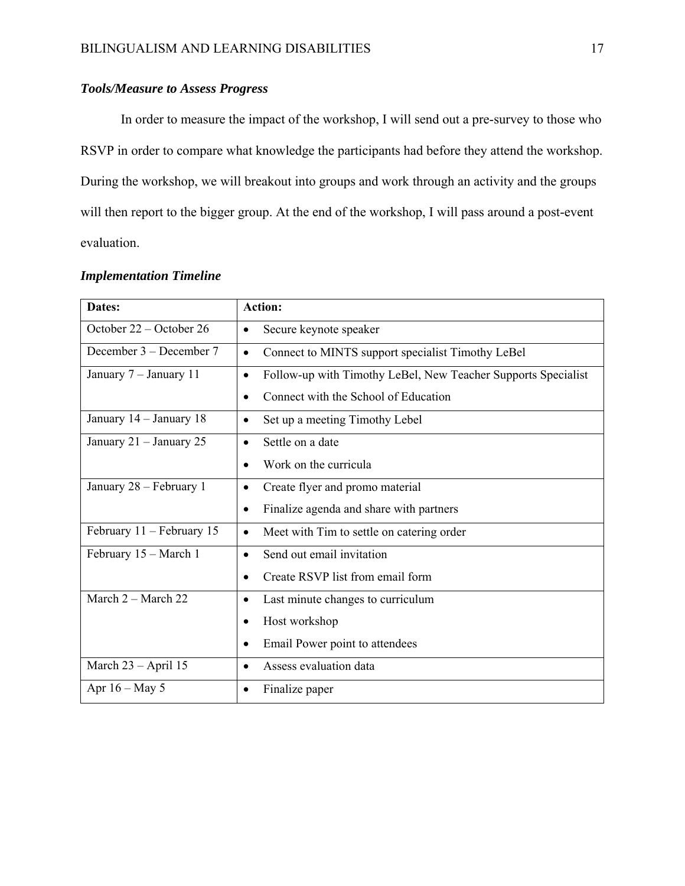# *Tools/Measure to Assess Progress*

 In order to measure the impact of the workshop, I will send out a pre-survey to those who RSVP in order to compare what knowledge the participants had before they attend the workshop. During the workshop, we will breakout into groups and work through an activity and the groups will then report to the bigger group. At the end of the workshop, I will pass around a post-event evaluation.

| Dates:                    | <b>Action:</b>                                                             |  |
|---------------------------|----------------------------------------------------------------------------|--|
| October 22 – October 26   | Secure keynote speaker<br>٠                                                |  |
| December 3 – December 7   | Connect to MINTS support specialist Timothy LeBel<br>$\bullet$             |  |
| January 7 - January 11    | Follow-up with Timothy LeBel, New Teacher Supports Specialist<br>$\bullet$ |  |
|                           | Connect with the School of Education                                       |  |
| January 14 - January 18   | Set up a meeting Timothy Lebel<br>$\bullet$                                |  |
| January 21 - January 25   | Settle on a date<br>$\bullet$                                              |  |
|                           | Work on the curricula                                                      |  |
| January 28 - February 1   | Create flyer and promo material<br>$\bullet$                               |  |
|                           | Finalize agenda and share with partners<br>$\bullet$                       |  |
| February 11 - February 15 | Meet with Tim to settle on catering order                                  |  |
| February 15 - March 1     | Send out email invitation                                                  |  |
|                           | Create RSVP list from email form<br>$\bullet$                              |  |
| March 2 - March 22        | Last minute changes to curriculum<br>٠                                     |  |
|                           | Host workshop<br>٠                                                         |  |
|                           | Email Power point to attendees                                             |  |
| March 23 - April 15       | Assess evaluation data<br>٠                                                |  |
| Apr $16 - May 5$          | Finalize paper                                                             |  |

# *Implementation Timeline*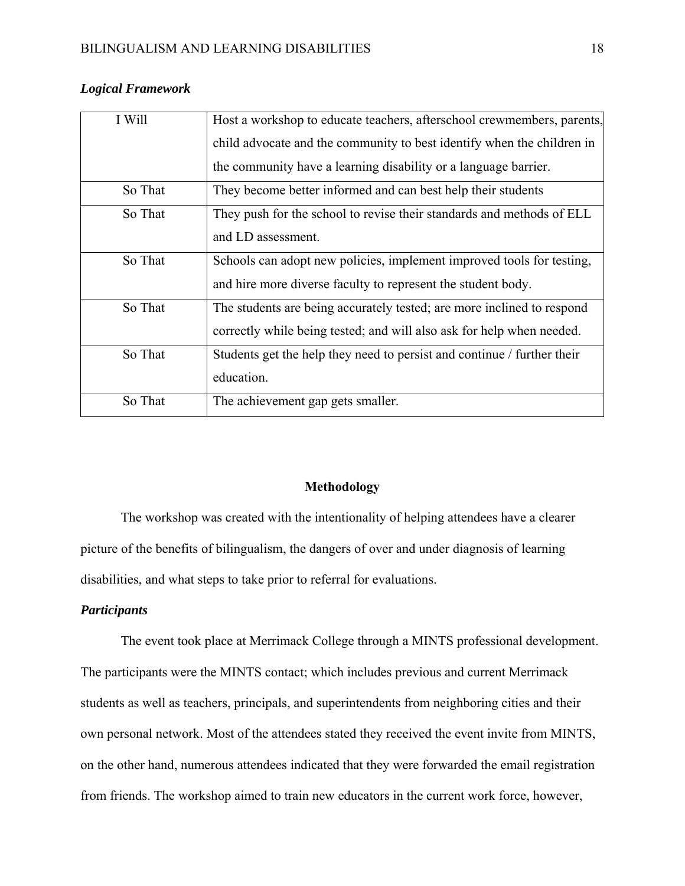| I Will  | Host a workshop to educate teachers, afterschool crewmembers, parents,  |
|---------|-------------------------------------------------------------------------|
|         | child advocate and the community to best identify when the children in  |
|         | the community have a learning disability or a language barrier.         |
| So That | They become better informed and can best help their students            |
| So That | They push for the school to revise their standards and methods of ELL   |
|         | and LD assessment.                                                      |
| So That | Schools can adopt new policies, implement improved tools for testing,   |
|         | and hire more diverse faculty to represent the student body.            |
| So That | The students are being accurately tested; are more inclined to respond  |
|         | correctly while being tested; and will also ask for help when needed.   |
| So That | Students get the help they need to persist and continue / further their |
|         | education.                                                              |
| So That | The achievement gap gets smaller.                                       |

# *Logical Framework*

## **Methodology**

 The workshop was created with the intentionality of helping attendees have a clearer picture of the benefits of bilingualism, the dangers of over and under diagnosis of learning disabilities, and what steps to take prior to referral for evaluations.

# *Participants*

 The event took place at Merrimack College through a MINTS professional development. The participants were the MINTS contact; which includes previous and current Merrimack students as well as teachers, principals, and superintendents from neighboring cities and their own personal network. Most of the attendees stated they received the event invite from MINTS, on the other hand, numerous attendees indicated that they were forwarded the email registration from friends. The workshop aimed to train new educators in the current work force, however,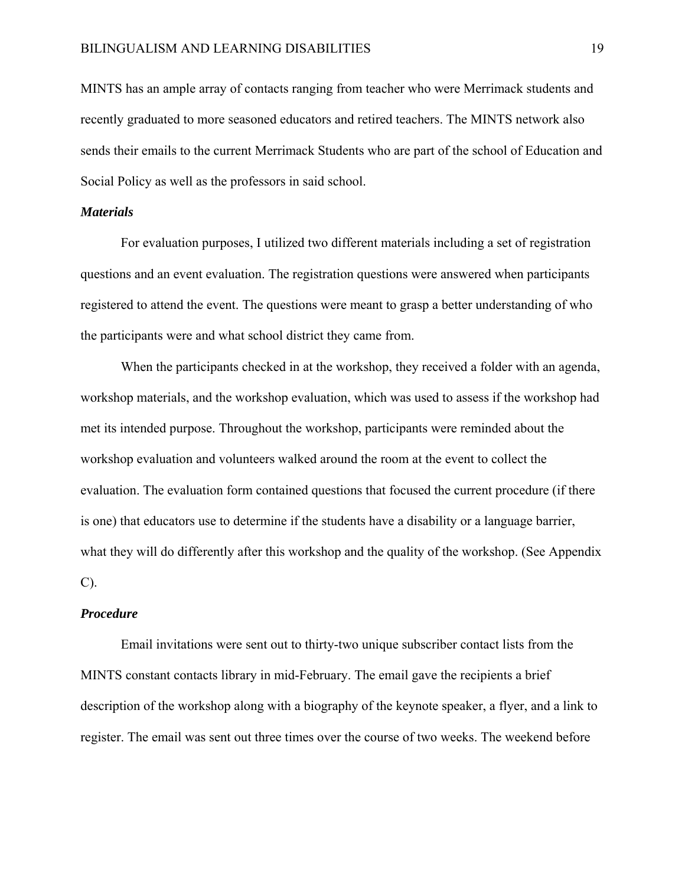MINTS has an ample array of contacts ranging from teacher who were Merrimack students and recently graduated to more seasoned educators and retired teachers. The MINTS network also sends their emails to the current Merrimack Students who are part of the school of Education and Social Policy as well as the professors in said school.

### *Materials*

 For evaluation purposes, I utilized two different materials including a set of registration questions and an event evaluation. The registration questions were answered when participants registered to attend the event. The questions were meant to grasp a better understanding of who the participants were and what school district they came from.

 When the participants checked in at the workshop, they received a folder with an agenda, workshop materials, and the workshop evaluation, which was used to assess if the workshop had met its intended purpose. Throughout the workshop, participants were reminded about the workshop evaluation and volunteers walked around the room at the event to collect the evaluation. The evaluation form contained questions that focused the current procedure (if there is one) that educators use to determine if the students have a disability or a language barrier, what they will do differently after this workshop and the quality of the workshop. (See Appendix C).

### *Procedure*

 Email invitations were sent out to thirty-two unique subscriber contact lists from the MINTS constant contacts library in mid-February. The email gave the recipients a brief description of the workshop along with a biography of the keynote speaker, a flyer, and a link to register. The email was sent out three times over the course of two weeks. The weekend before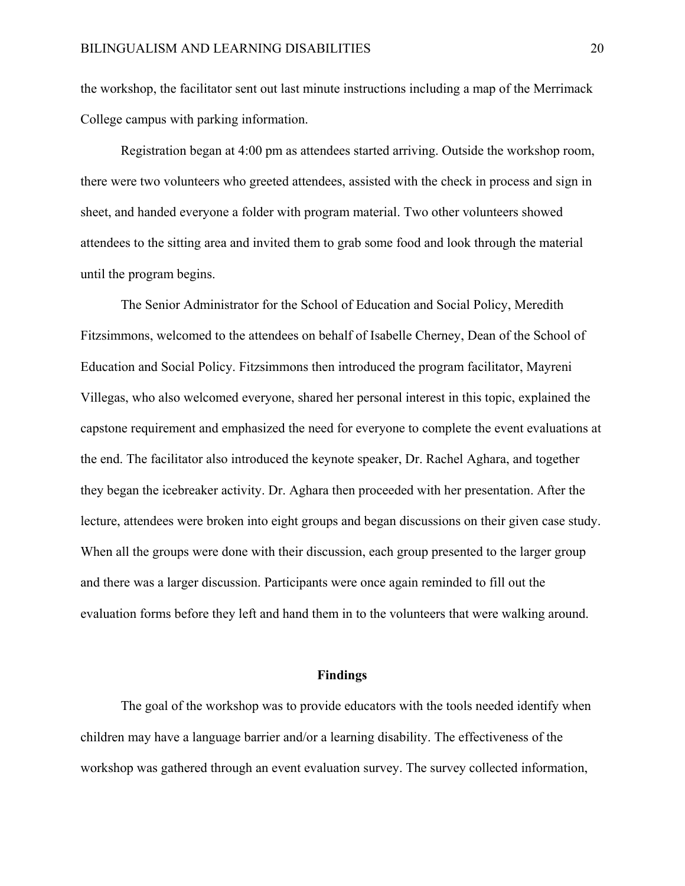the workshop, the facilitator sent out last minute instructions including a map of the Merrimack College campus with parking information.

Registration began at 4:00 pm as attendees started arriving. Outside the workshop room, there were two volunteers who greeted attendees, assisted with the check in process and sign in sheet, and handed everyone a folder with program material. Two other volunteers showed attendees to the sitting area and invited them to grab some food and look through the material until the program begins.

 The Senior Administrator for the School of Education and Social Policy, Meredith Fitzsimmons, welcomed to the attendees on behalf of Isabelle Cherney, Dean of the School of Education and Social Policy. Fitzsimmons then introduced the program facilitator, Mayreni Villegas, who also welcomed everyone, shared her personal interest in this topic, explained the capstone requirement and emphasized the need for everyone to complete the event evaluations at the end. The facilitator also introduced the keynote speaker, Dr. Rachel Aghara, and together they began the icebreaker activity. Dr. Aghara then proceeded with her presentation. After the lecture, attendees were broken into eight groups and began discussions on their given case study. When all the groups were done with their discussion, each group presented to the larger group and there was a larger discussion. Participants were once again reminded to fill out the evaluation forms before they left and hand them in to the volunteers that were walking around.

#### **Findings**

 The goal of the workshop was to provide educators with the tools needed identify when children may have a language barrier and/or a learning disability. The effectiveness of the workshop was gathered through an event evaluation survey. The survey collected information,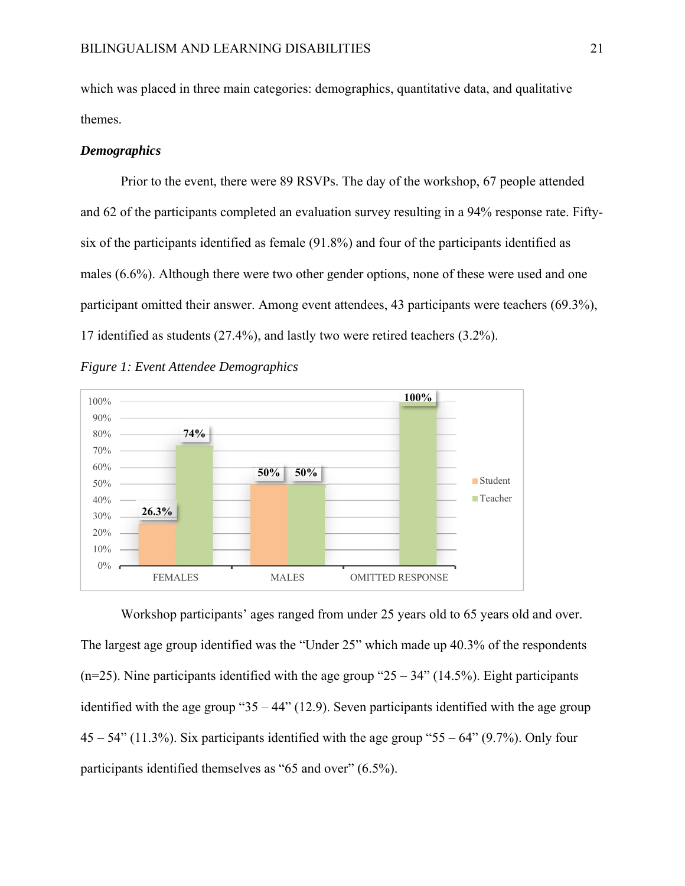which was placed in three main categories: demographics, quantitative data, and qualitative themes.

### *Demographics*

 Prior to the event, there were 89 RSVPs. The day of the workshop, 67 people attended and 62 of the participants completed an evaluation survey resulting in a 94% response rate. Fiftysix of the participants identified as female (91.8%) and four of the participants identified as males (6.6%). Although there were two other gender options, none of these were used and one participant omitted their answer. Among event attendees, 43 participants were teachers (69.3%), 17 identified as students (27.4%), and lastly two were retired teachers (3.2%).

*Figure 1: Event Attendee Demographics* 



 Workshop participants' ages ranged from under 25 years old to 65 years old and over. The largest age group identified was the "Under 25" which made up 40.3% of the respondents (n=25). Nine participants identified with the age group " $25 - 34$ " (14.5%). Eight participants identified with the age group " $35 - 44$ " (12.9). Seven participants identified with the age group  $45 - 54$ " (11.3%). Six participants identified with the age group "55 – 64" (9.7%). Only four participants identified themselves as "65 and over" (6.5%).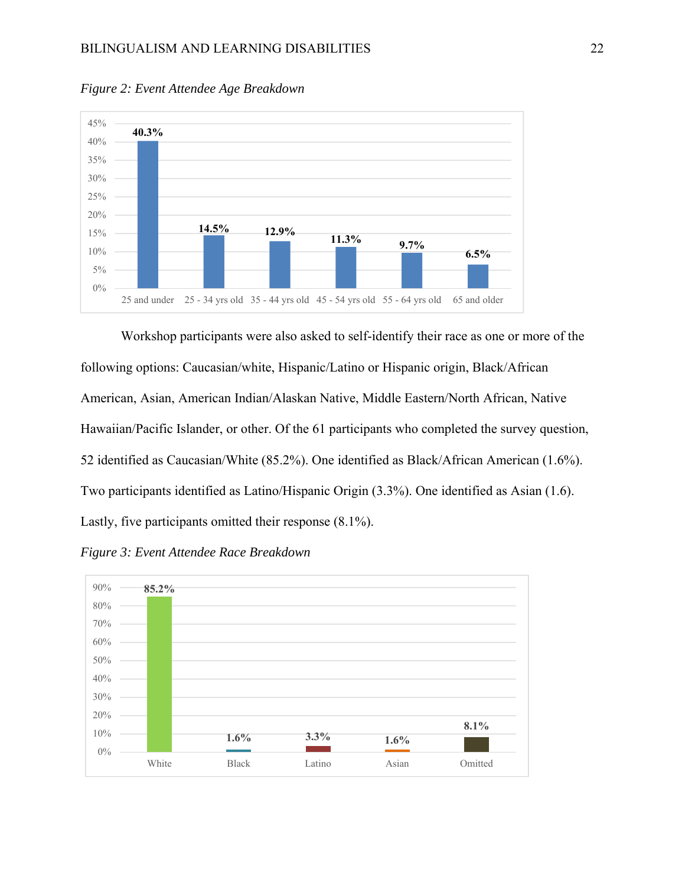

*Figure 2: Event Attendee Age Breakdown* 

Workshop participants were also asked to self-identify their race as one or more of the following options: Caucasian/white, Hispanic/Latino or Hispanic origin, Black/African American, Asian, American Indian/Alaskan Native, Middle Eastern/North African, Native Hawaiian/Pacific Islander, or other. Of the 61 participants who completed the survey question, 52 identified as Caucasian/White (85.2%). One identified as Black/African American (1.6%). Two participants identified as Latino/Hispanic Origin (3.3%). One identified as Asian (1.6). Lastly, five participants omitted their response (8.1%).



*Figure 3: Event Attendee Race Breakdown*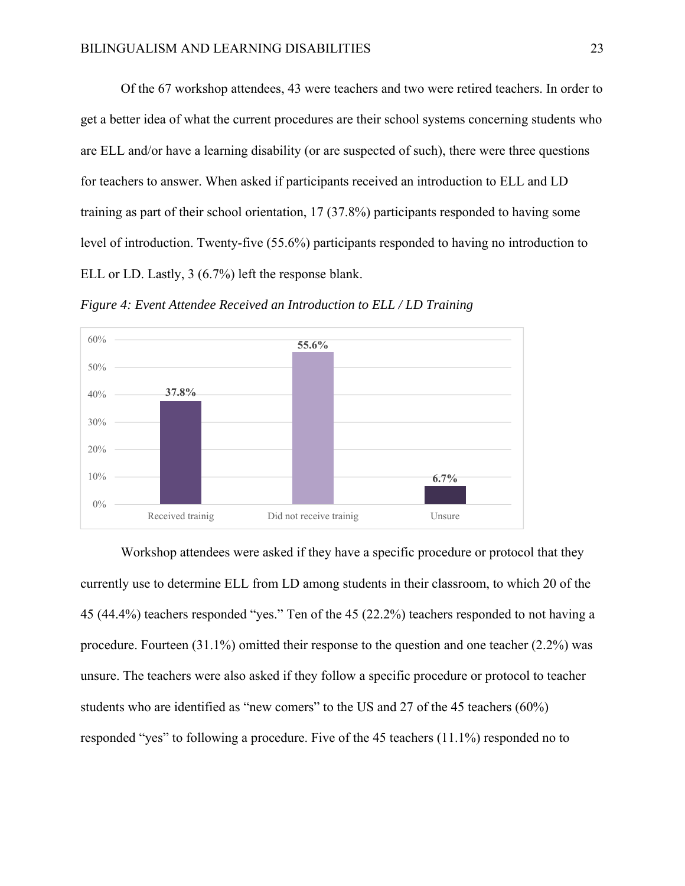Of the 67 workshop attendees, 43 were teachers and two were retired teachers. In order to get a better idea of what the current procedures are their school systems concerning students who are ELL and/or have a learning disability (or are suspected of such), there were three questions for teachers to answer. When asked if participants received an introduction to ELL and LD training as part of their school orientation, 17 (37.8%) participants responded to having some level of introduction. Twenty-five (55.6%) participants responded to having no introduction to ELL or LD. Lastly, 3 (6.7%) left the response blank.

*Figure 4: Event Attendee Received an Introduction to ELL / LD Training* 



 Workshop attendees were asked if they have a specific procedure or protocol that they currently use to determine ELL from LD among students in their classroom, to which 20 of the 45 (44.4%) teachers responded "yes." Ten of the 45 (22.2%) teachers responded to not having a procedure. Fourteen (31.1%) omitted their response to the question and one teacher (2.2%) was unsure. The teachers were also asked if they follow a specific procedure or protocol to teacher students who are identified as "new comers" to the US and 27 of the 45 teachers (60%) responded "yes" to following a procedure. Five of the 45 teachers (11.1%) responded no to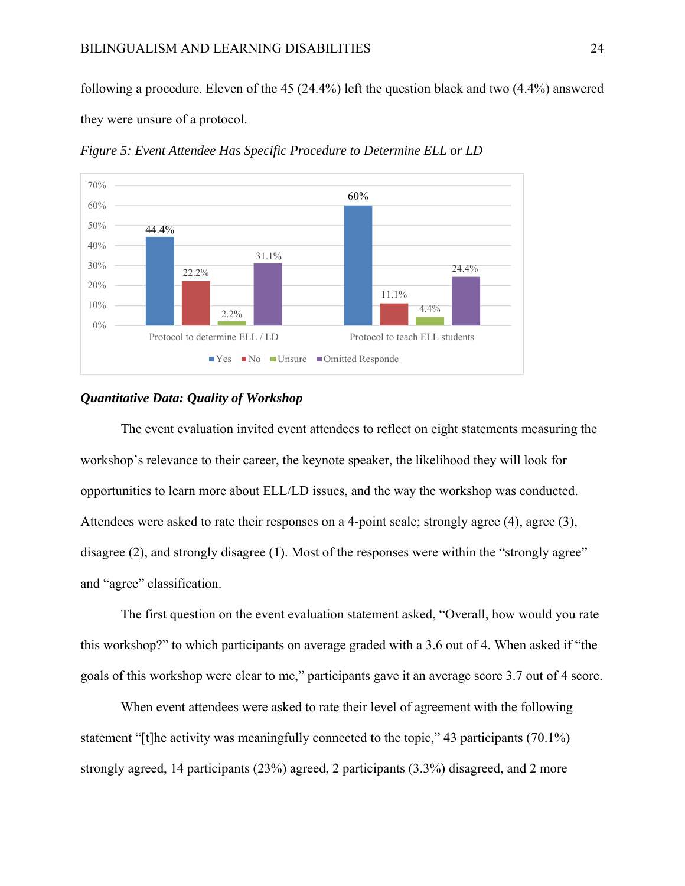following a procedure. Eleven of the 45 (24.4%) left the question black and two (4.4%) answered they were unsure of a protocol.



*Figure 5: Event Attendee Has Specific Procedure to Determine ELL or LD* 

#### *Quantitative Data: Quality of Workshop*

The event evaluation invited event attendees to reflect on eight statements measuring the workshop's relevance to their career, the keynote speaker, the likelihood they will look for opportunities to learn more about ELL/LD issues, and the way the workshop was conducted. Attendees were asked to rate their responses on a 4-point scale; strongly agree (4), agree (3), disagree (2), and strongly disagree (1). Most of the responses were within the "strongly agree" and "agree" classification.

The first question on the event evaluation statement asked, "Overall, how would you rate this workshop?" to which participants on average graded with a 3.6 out of 4. When asked if "the goals of this workshop were clear to me," participants gave it an average score 3.7 out of 4 score.

When event attendees were asked to rate their level of agreement with the following statement "[t]he activity was meaningfully connected to the topic," 43 participants (70.1%) strongly agreed, 14 participants (23%) agreed, 2 participants (3.3%) disagreed, and 2 more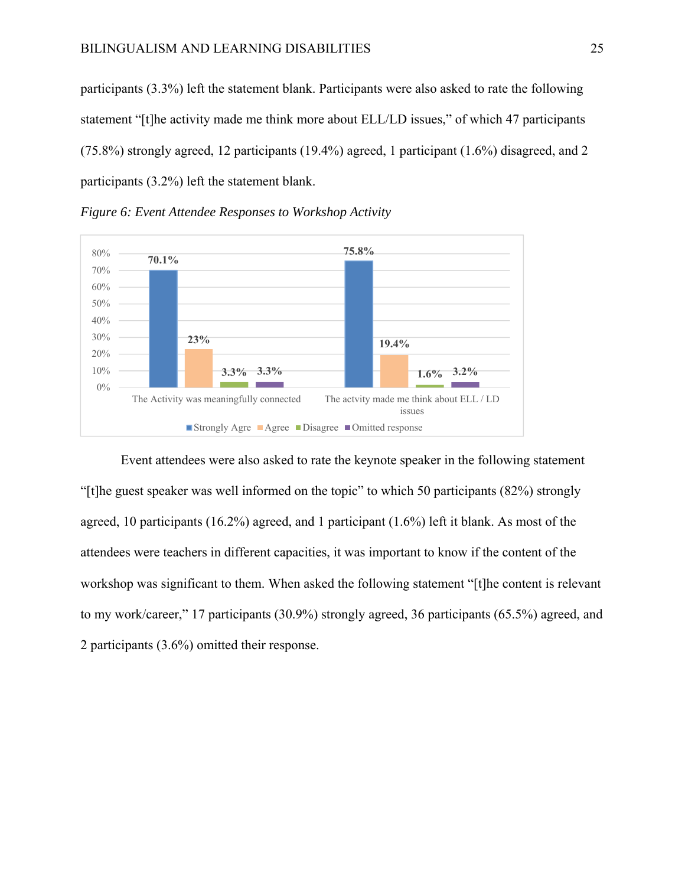participants (3.3%) left the statement blank. Participants were also asked to rate the following statement "[t]he activity made me think more about ELL/LD issues," of which 47 participants (75.8%) strongly agreed, 12 participants (19.4%) agreed, 1 participant (1.6%) disagreed, and 2 participants (3.2%) left the statement blank.





Event attendees were also asked to rate the keynote speaker in the following statement "[t]he guest speaker was well informed on the topic" to which 50 participants (82%) strongly agreed, 10 participants (16.2%) agreed, and 1 participant (1.6%) left it blank. As most of the attendees were teachers in different capacities, it was important to know if the content of the workshop was significant to them. When asked the following statement "[t]he content is relevant to my work/career," 17 participants (30.9%) strongly agreed, 36 participants (65.5%) agreed, and 2 participants (3.6%) omitted their response.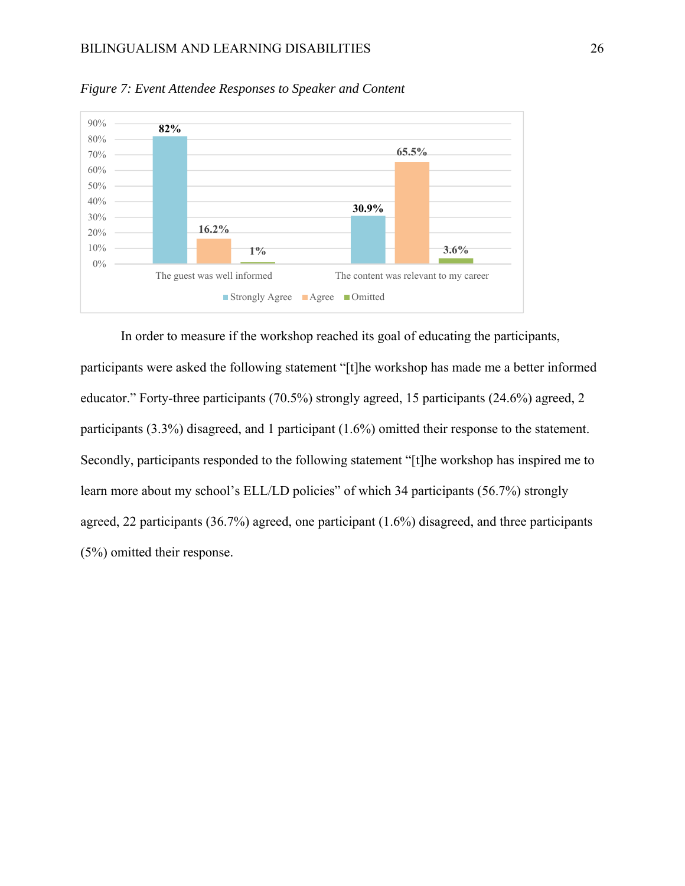## BILINGUALISM AND LEARNING DISABILITIES 26



*Figure 7: Event Attendee Responses to Speaker and Content* 

In order to measure if the workshop reached its goal of educating the participants, participants were asked the following statement "[t]he workshop has made me a better informed educator." Forty-three participants (70.5%) strongly agreed, 15 participants (24.6%) agreed, 2 participants (3.3%) disagreed, and 1 participant (1.6%) omitted their response to the statement. Secondly, participants responded to the following statement "[t]he workshop has inspired me to learn more about my school's ELL/LD policies" of which 34 participants (56.7%) strongly agreed, 22 participants (36.7%) agreed, one participant (1.6%) disagreed, and three participants (5%) omitted their response.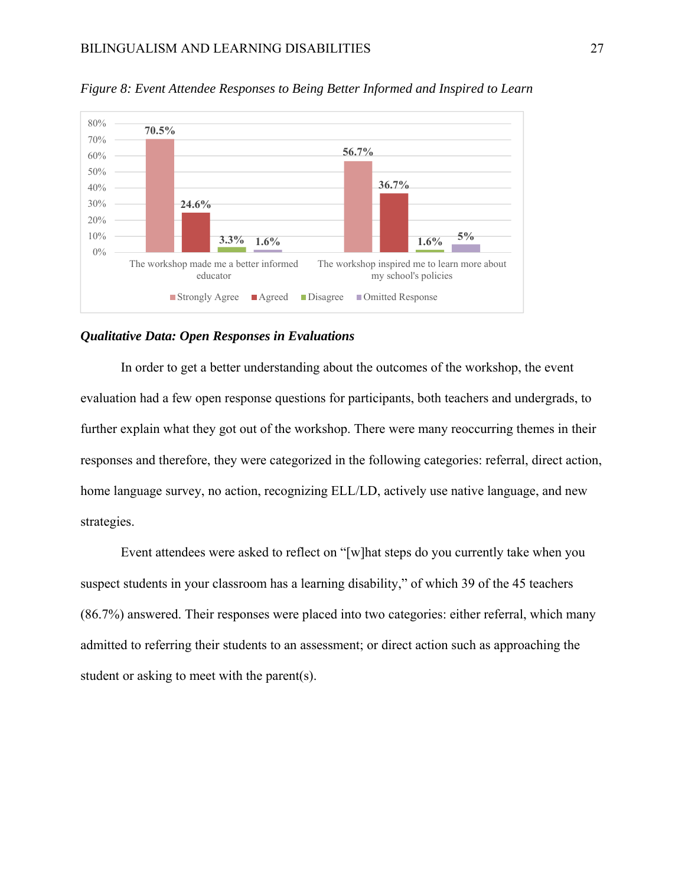

*Figure 8: Event Attendee Responses to Being Better Informed and Inspired to Learn* 

#### *Qualitative Data: Open Responses in Evaluations*

In order to get a better understanding about the outcomes of the workshop, the event evaluation had a few open response questions for participants, both teachers and undergrads, to further explain what they got out of the workshop. There were many reoccurring themes in their responses and therefore, they were categorized in the following categories: referral, direct action, home language survey, no action, recognizing ELL/LD, actively use native language, and new strategies.

Event attendees were asked to reflect on "[w]hat steps do you currently take when you suspect students in your classroom has a learning disability," of which 39 of the 45 teachers (86.7%) answered. Their responses were placed into two categories: either referral, which many admitted to referring their students to an assessment; or direct action such as approaching the student or asking to meet with the parent(s).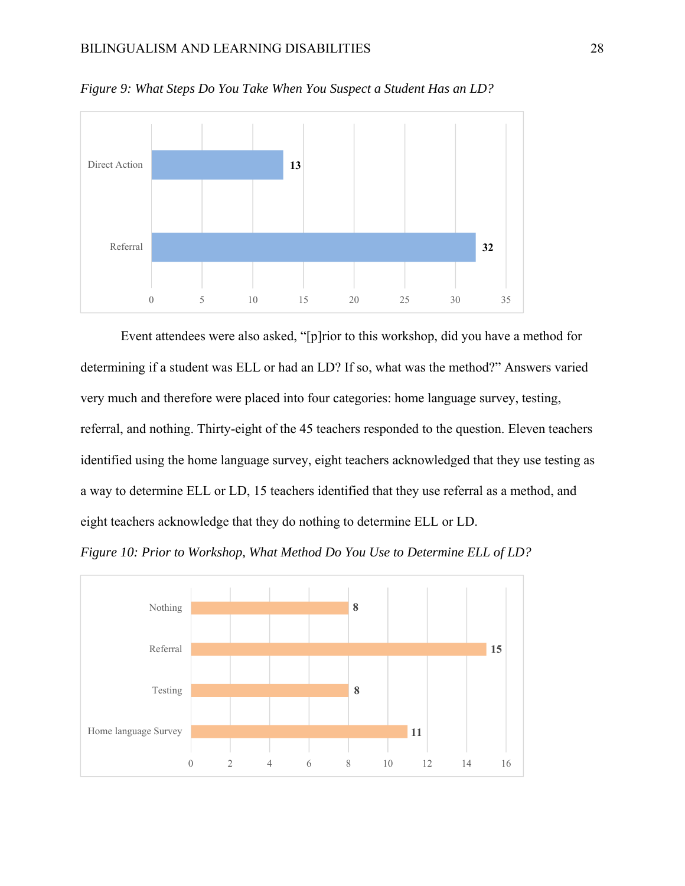

*Figure 9: What Steps Do You Take When You Suspect a Student Has an LD?* 

Event attendees were also asked, "[p]rior to this workshop, did you have a method for determining if a student was ELL or had an LD? If so, what was the method?" Answers varied very much and therefore were placed into four categories: home language survey, testing, referral, and nothing. Thirty-eight of the 45 teachers responded to the question. Eleven teachers identified using the home language survey, eight teachers acknowledged that they use testing as a way to determine ELL or LD, 15 teachers identified that they use referral as a method, and eight teachers acknowledge that they do nothing to determine ELL or LD.



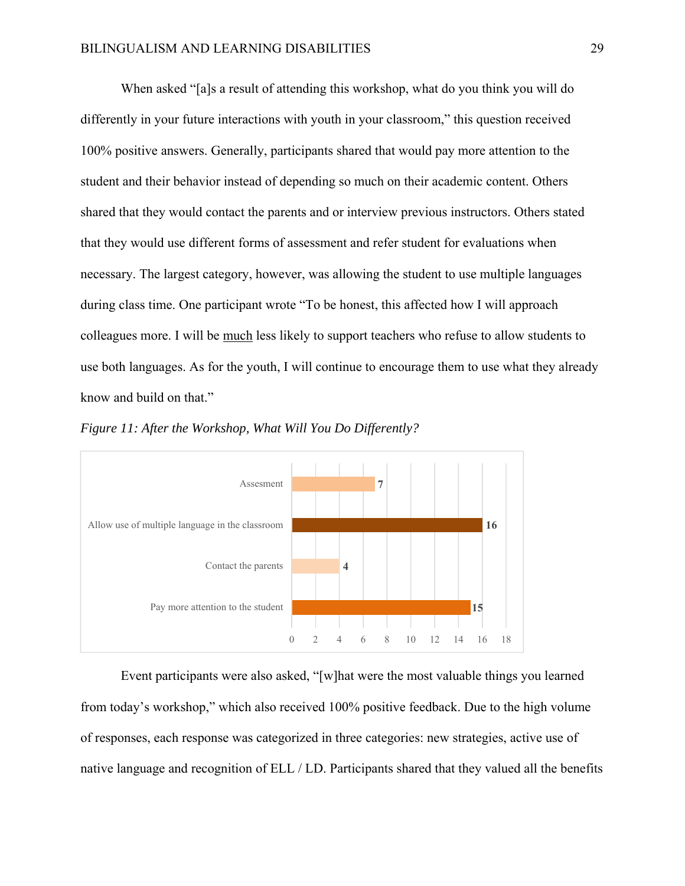When asked "[a]s a result of attending this workshop, what do you think you will do differently in your future interactions with youth in your classroom," this question received 100% positive answers. Generally, participants shared that would pay more attention to the student and their behavior instead of depending so much on their academic content. Others shared that they would contact the parents and or interview previous instructors. Others stated that they would use different forms of assessment and refer student for evaluations when necessary. The largest category, however, was allowing the student to use multiple languages during class time. One participant wrote "To be honest, this affected how I will approach colleagues more. I will be much less likely to support teachers who refuse to allow students to use both languages. As for the youth, I will continue to encourage them to use what they already know and build on that."





 Event participants were also asked, "[w]hat were the most valuable things you learned from today's workshop," which also received 100% positive feedback. Due to the high volume of responses, each response was categorized in three categories: new strategies, active use of native language and recognition of ELL / LD. Participants shared that they valued all the benefits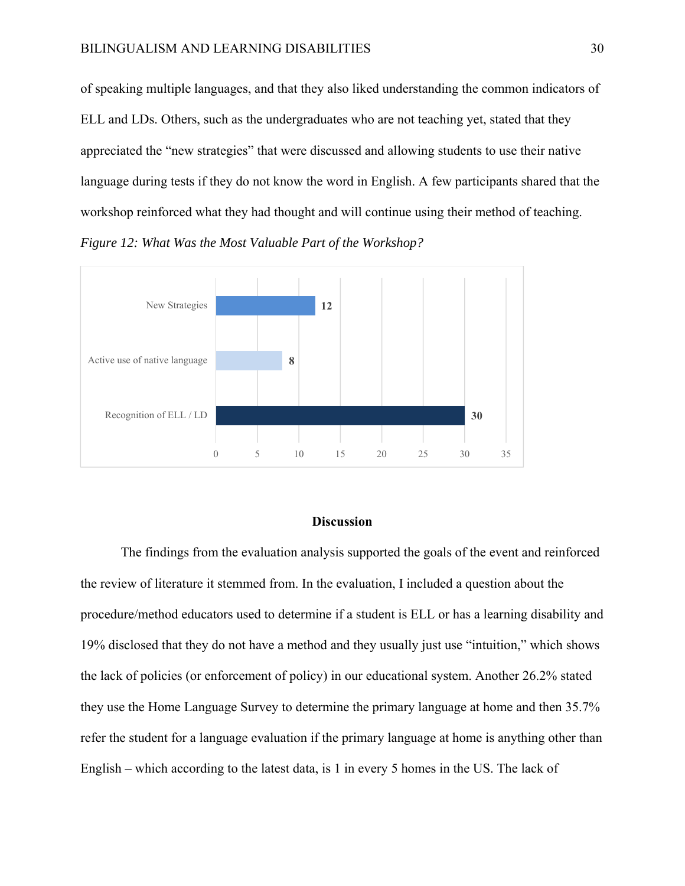of speaking multiple languages, and that they also liked understanding the common indicators of ELL and LDs. Others, such as the undergraduates who are not teaching yet, stated that they appreciated the "new strategies" that were discussed and allowing students to use their native language during tests if they do not know the word in English. A few participants shared that the workshop reinforced what they had thought and will continue using their method of teaching. *Figure 12: What Was the Most Valuable Part of the Workshop?* 



### **Discussion**

 The findings from the evaluation analysis supported the goals of the event and reinforced the review of literature it stemmed from. In the evaluation, I included a question about the procedure/method educators used to determine if a student is ELL or has a learning disability and 19% disclosed that they do not have a method and they usually just use "intuition," which shows the lack of policies (or enforcement of policy) in our educational system. Another 26.2% stated they use the Home Language Survey to determine the primary language at home and then 35.7% refer the student for a language evaluation if the primary language at home is anything other than English – which according to the latest data, is 1 in every 5 homes in the US. The lack of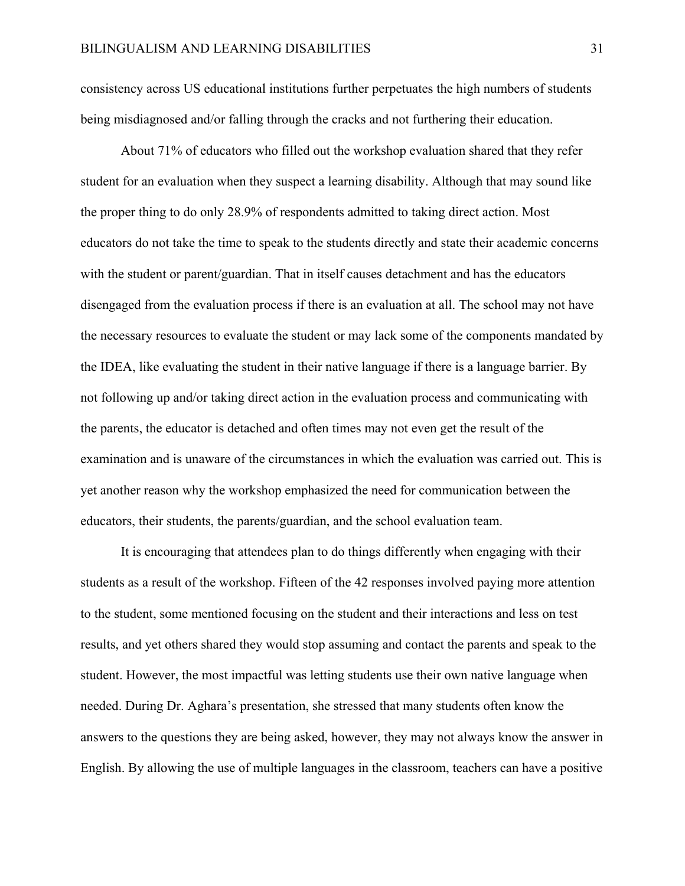consistency across US educational institutions further perpetuates the high numbers of students being misdiagnosed and/or falling through the cracks and not furthering their education.

 About 71% of educators who filled out the workshop evaluation shared that they refer student for an evaluation when they suspect a learning disability. Although that may sound like the proper thing to do only 28.9% of respondents admitted to taking direct action. Most educators do not take the time to speak to the students directly and state their academic concerns with the student or parent/guardian. That in itself causes detachment and has the educators disengaged from the evaluation process if there is an evaluation at all. The school may not have the necessary resources to evaluate the student or may lack some of the components mandated by the IDEA, like evaluating the student in their native language if there is a language barrier. By not following up and/or taking direct action in the evaluation process and communicating with the parents, the educator is detached and often times may not even get the result of the examination and is unaware of the circumstances in which the evaluation was carried out. This is yet another reason why the workshop emphasized the need for communication between the educators, their students, the parents/guardian, and the school evaluation team.

 It is encouraging that attendees plan to do things differently when engaging with their students as a result of the workshop. Fifteen of the 42 responses involved paying more attention to the student, some mentioned focusing on the student and their interactions and less on test results, and yet others shared they would stop assuming and contact the parents and speak to the student. However, the most impactful was letting students use their own native language when needed. During Dr. Aghara's presentation, she stressed that many students often know the answers to the questions they are being asked, however, they may not always know the answer in English. By allowing the use of multiple languages in the classroom, teachers can have a positive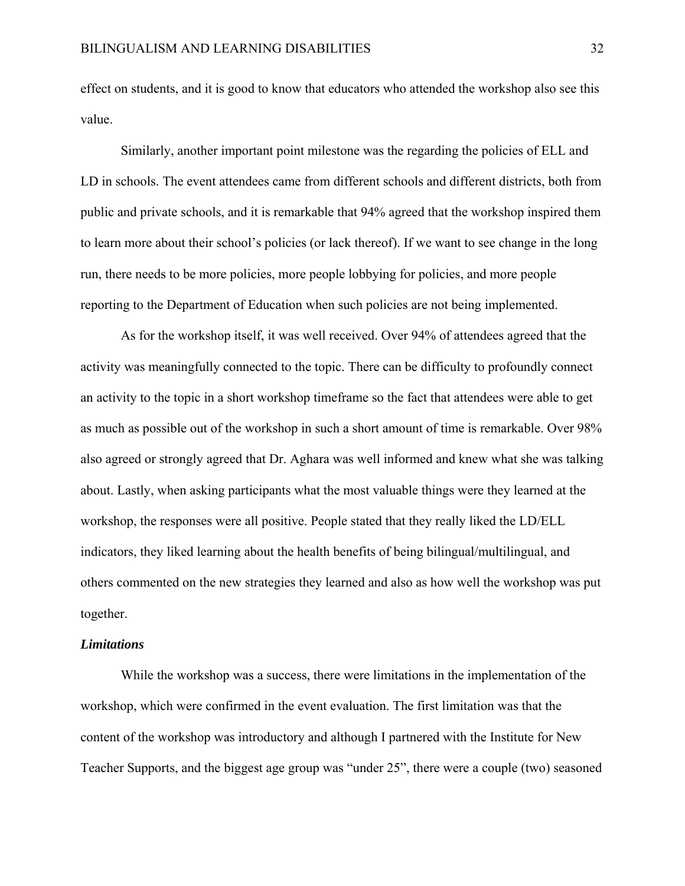effect on students, and it is good to know that educators who attended the workshop also see this value.

 Similarly, another important point milestone was the regarding the policies of ELL and LD in schools. The event attendees came from different schools and different districts, both from public and private schools, and it is remarkable that 94% agreed that the workshop inspired them to learn more about their school's policies (or lack thereof). If we want to see change in the long run, there needs to be more policies, more people lobbying for policies, and more people reporting to the Department of Education when such policies are not being implemented.

 As for the workshop itself, it was well received. Over 94% of attendees agreed that the activity was meaningfully connected to the topic. There can be difficulty to profoundly connect an activity to the topic in a short workshop timeframe so the fact that attendees were able to get as much as possible out of the workshop in such a short amount of time is remarkable. Over 98% also agreed or strongly agreed that Dr. Aghara was well informed and knew what she was talking about. Lastly, when asking participants what the most valuable things were they learned at the workshop, the responses were all positive. People stated that they really liked the LD/ELL indicators, they liked learning about the health benefits of being bilingual/multilingual, and others commented on the new strategies they learned and also as how well the workshop was put together.

#### *Limitations*

 While the workshop was a success, there were limitations in the implementation of the workshop, which were confirmed in the event evaluation. The first limitation was that the content of the workshop was introductory and although I partnered with the Institute for New Teacher Supports, and the biggest age group was "under 25", there were a couple (two) seasoned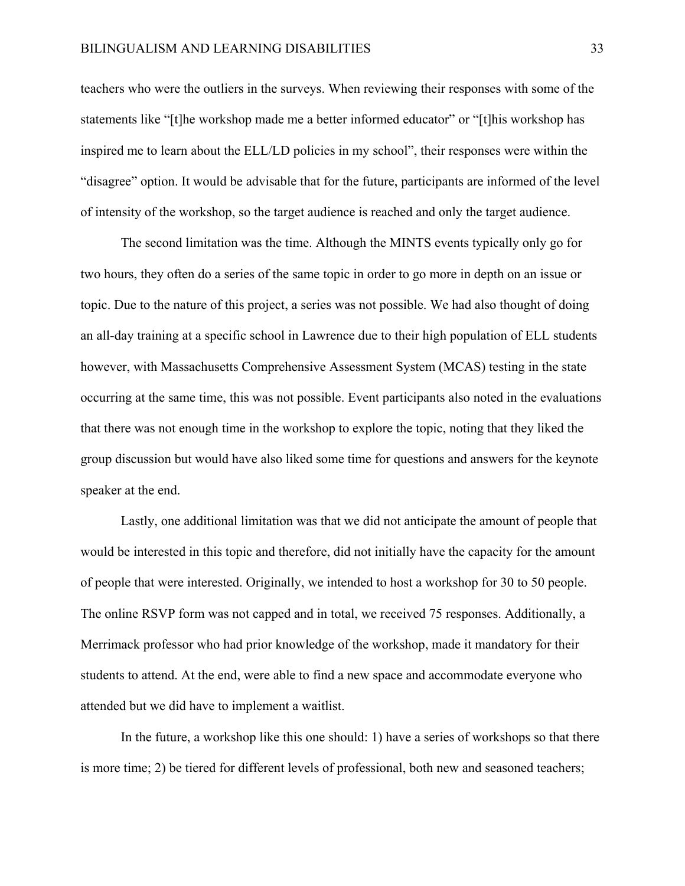teachers who were the outliers in the surveys. When reviewing their responses with some of the statements like "[t]he workshop made me a better informed educator" or "[t]his workshop has inspired me to learn about the ELL/LD policies in my school", their responses were within the "disagree" option. It would be advisable that for the future, participants are informed of the level of intensity of the workshop, so the target audience is reached and only the target audience.

 The second limitation was the time. Although the MINTS events typically only go for two hours, they often do a series of the same topic in order to go more in depth on an issue or topic. Due to the nature of this project, a series was not possible. We had also thought of doing an all-day training at a specific school in Lawrence due to their high population of ELL students however, with Massachusetts Comprehensive Assessment System (MCAS) testing in the state occurring at the same time, this was not possible. Event participants also noted in the evaluations that there was not enough time in the workshop to explore the topic, noting that they liked the group discussion but would have also liked some time for questions and answers for the keynote speaker at the end.

 Lastly, one additional limitation was that we did not anticipate the amount of people that would be interested in this topic and therefore, did not initially have the capacity for the amount of people that were interested. Originally, we intended to host a workshop for 30 to 50 people. The online RSVP form was not capped and in total, we received 75 responses. Additionally, a Merrimack professor who had prior knowledge of the workshop, made it mandatory for their students to attend. At the end, were able to find a new space and accommodate everyone who attended but we did have to implement a waitlist.

 In the future, a workshop like this one should: 1) have a series of workshops so that there is more time; 2) be tiered for different levels of professional, both new and seasoned teachers;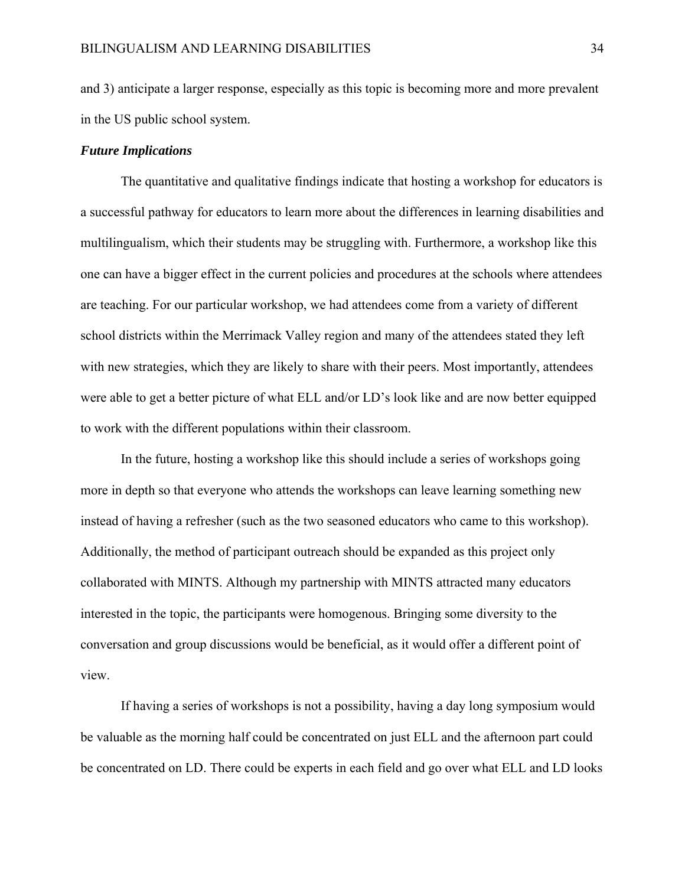and 3) anticipate a larger response, especially as this topic is becoming more and more prevalent in the US public school system.

### *Future Implications*

 The quantitative and qualitative findings indicate that hosting a workshop for educators is a successful pathway for educators to learn more about the differences in learning disabilities and multilingualism, which their students may be struggling with. Furthermore, a workshop like this one can have a bigger effect in the current policies and procedures at the schools where attendees are teaching. For our particular workshop, we had attendees come from a variety of different school districts within the Merrimack Valley region and many of the attendees stated they left with new strategies, which they are likely to share with their peers. Most importantly, attendees were able to get a better picture of what ELL and/or LD's look like and are now better equipped to work with the different populations within their classroom.

 In the future, hosting a workshop like this should include a series of workshops going more in depth so that everyone who attends the workshops can leave learning something new instead of having a refresher (such as the two seasoned educators who came to this workshop). Additionally, the method of participant outreach should be expanded as this project only collaborated with MINTS. Although my partnership with MINTS attracted many educators interested in the topic, the participants were homogenous. Bringing some diversity to the conversation and group discussions would be beneficial, as it would offer a different point of view.

 If having a series of workshops is not a possibility, having a day long symposium would be valuable as the morning half could be concentrated on just ELL and the afternoon part could be concentrated on LD. There could be experts in each field and go over what ELL and LD looks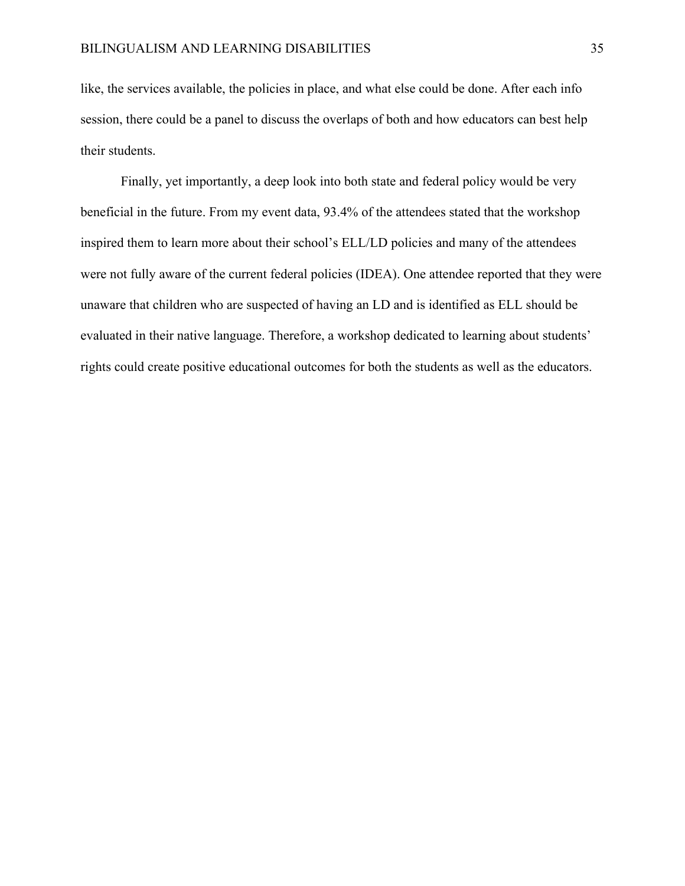like, the services available, the policies in place, and what else could be done. After each info session, there could be a panel to discuss the overlaps of both and how educators can best help their students.

 Finally, yet importantly, a deep look into both state and federal policy would be very beneficial in the future. From my event data, 93.4% of the attendees stated that the workshop inspired them to learn more about their school's ELL/LD policies and many of the attendees were not fully aware of the current federal policies (IDEA). One attendee reported that they were unaware that children who are suspected of having an LD and is identified as ELL should be evaluated in their native language. Therefore, a workshop dedicated to learning about students' rights could create positive educational outcomes for both the students as well as the educators.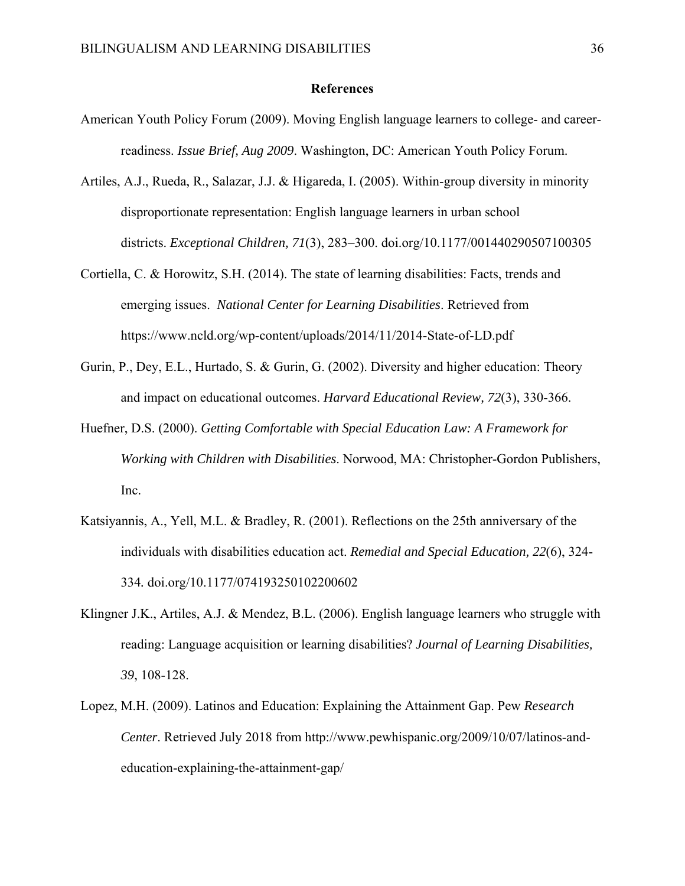### **References**

- American Youth Policy Forum (2009). Moving English language learners to college- and careerreadiness. *Issue Brief, Aug 2009*. Washington, DC: American Youth Policy Forum.
- Artiles, A.J., Rueda, R., Salazar, J.J. & Higareda, I. (2005). Within-group diversity in minority disproportionate representation: English language learners in urban school districts. *Exceptional Children, 71*(3), 283–300. doi.org/10.1177/001440290507100305
- Cortiella, C. & Horowitz, S.H. (2014). The state of learning disabilities: Facts, trends and emerging issues. *National Center for Learning Disabilities*. Retrieved from https://www.ncld.org/wp-content/uploads/2014/11/2014-State-of-LD.pdf
- Gurin, P., Dey, E.L., Hurtado, S. & Gurin, G. (2002). Diversity and higher education: Theory and impact on educational outcomes. *Harvard Educational Review, 72*(3), 330-366.
- Huefner, D.S. (2000). *Getting Comfortable with Special Education Law: A Framework for Working with Children with Disabilities*. Norwood, MA: Christopher-Gordon Publishers, Inc.
- Katsiyannis, A., Yell, M.L. & Bradley, R. (2001). Reflections on the 25th anniversary of the individuals with disabilities education act. *Remedial and Special Education, 22*(6), 324- 334*.* doi.org/10.1177/074193250102200602
- Klingner J.K., Artiles, A.J. & Mendez, B.L. (2006). English language learners who struggle with reading: Language acquisition or learning disabilities? *Journal of Learning Disabilities, 39*, 108-128.
- Lopez, M.H. (2009). Latinos and Education: Explaining the Attainment Gap. Pew *Research Center*. Retrieved July 2018 from http://www.pewhispanic.org/2009/10/07/latinos-andeducation-explaining-the-attainment-gap/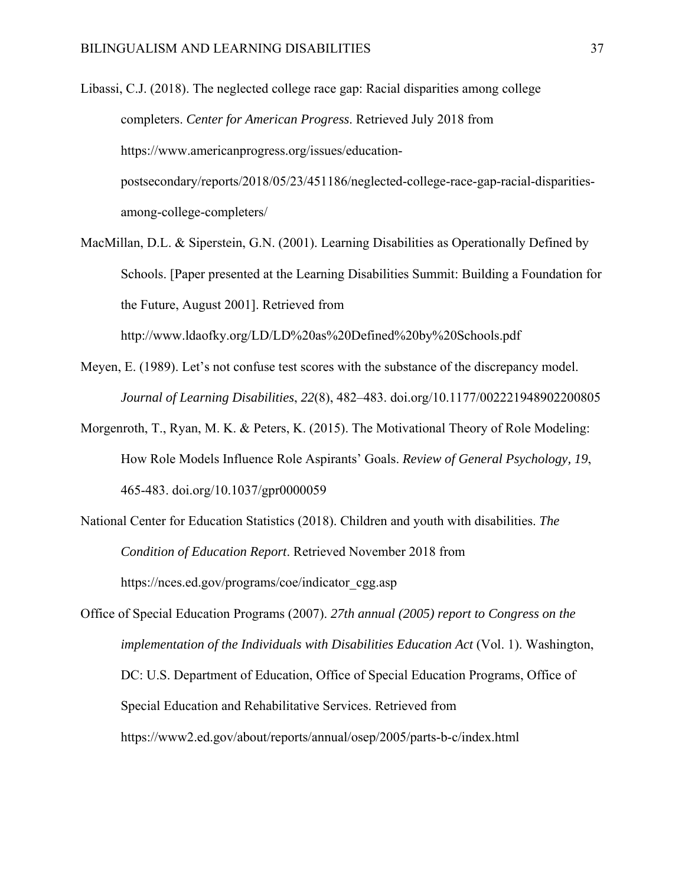Libassi, C.J. (2018). The neglected college race gap: Racial disparities among college completers. *Center for American Progress*. Retrieved July 2018 from https://www.americanprogress.org/issues/educationpostsecondary/reports/2018/05/23/451186/neglected-college-race-gap-racial-disparitiesamong-college-completers/

- MacMillan, D.L. & Siperstein, G.N. (2001). Learning Disabilities as Operationally Defined by Schools. [Paper presented at the Learning Disabilities Summit: Building a Foundation for the Future, August 2001]. Retrieved from http://www.ldaofky.org/LD/LD%20as%20Defined%20by%20Schools.pdf
- Meyen, E. (1989). Let's not confuse test scores with the substance of the discrepancy model. *Journal of Learning Disabilities*, *22*(8), 482–483. doi.org/10.1177/002221948902200805
- Morgenroth, T., Ryan, M. K. & Peters, K. (2015). The Motivational Theory of Role Modeling: How Role Models Influence Role Aspirants' Goals. *Review of General Psychology, 19*, 465-483. doi.org/10.1037/gpr0000059
- National Center for Education Statistics (2018). Children and youth with disabilities. *The Condition of Education Report*. Retrieved November 2018 from https://nces.ed.gov/programs/coe/indicator\_cgg.asp

Office of Special Education Programs (2007). *27th annual (2005) report to Congress on the implementation of the Individuals with Disabilities Education Act* (Vol. 1). Washington, DC: U.S. Department of Education, Office of Special Education Programs, Office of Special Education and Rehabilitative Services. Retrieved from https://www2.ed.gov/about/reports/annual/osep/2005/parts-b-c/index.html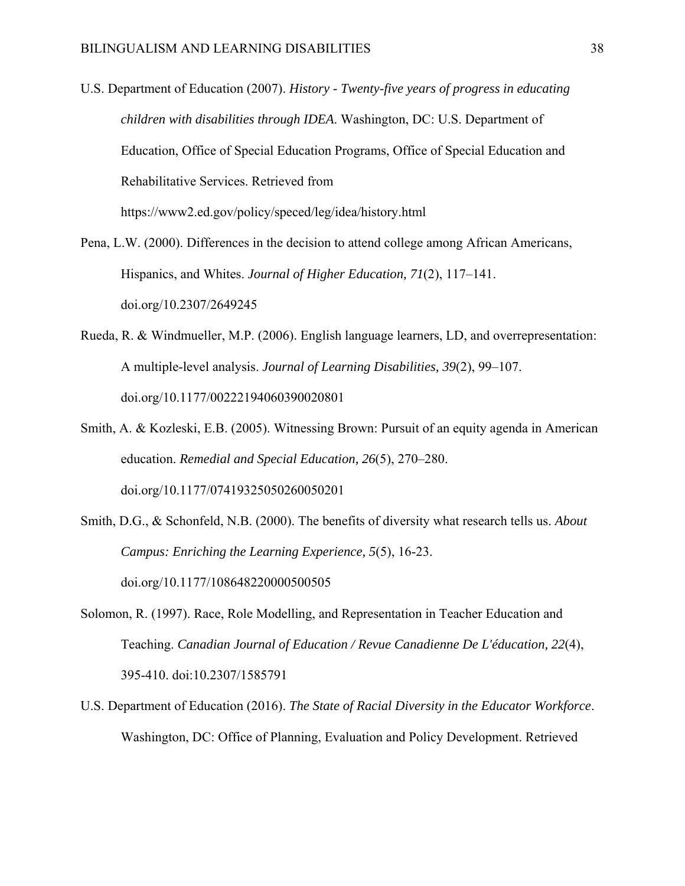- U.S. Department of Education (2007). *History Twenty-five years of progress in educating children with disabilities through IDEA*. Washington, DC: U.S. Department of Education, Office of Special Education Programs, Office of Special Education and Rehabilitative Services. Retrieved from https://www2.ed.gov/policy/speced/leg/idea/history.html
- Pena, L.W. (2000). Differences in the decision to attend college among African Americans, Hispanics, and Whites. *Journal of Higher Education, 71*(2), 117–141. doi.org/10.2307/2649245
- Rueda, R. & Windmueller, M.P. (2006). English language learners, LD, and overrepresentation: A multiple-level analysis. *Journal of Learning Disabilities, 39*(2), 99–107. doi.org/10.1177/00222194060390020801
- Smith, A. & Kozleski, E.B. (2005). Witnessing Brown: Pursuit of an equity agenda in American education. *Remedial and Special Education, 26*(5), 270–280. doi.org/10.1177/07419325050260050201
- Smith, D.G., & Schonfeld, N.B. (2000). The benefits of diversity what research tells us. *About Campus: Enriching the Learning Experience, 5*(5), 16-23. doi.org/10.1177/108648220000500505
- Solomon, R. (1997). Race, Role Modelling, and Representation in Teacher Education and Teaching. *Canadian Journal of Education / Revue Canadienne De L'éducation, 22*(4), 395-410. doi:10.2307/1585791
- U.S. Department of Education (2016). *The State of Racial Diversity in the Educator Workforce*. Washington, DC: Office of Planning, Evaluation and Policy Development. Retrieved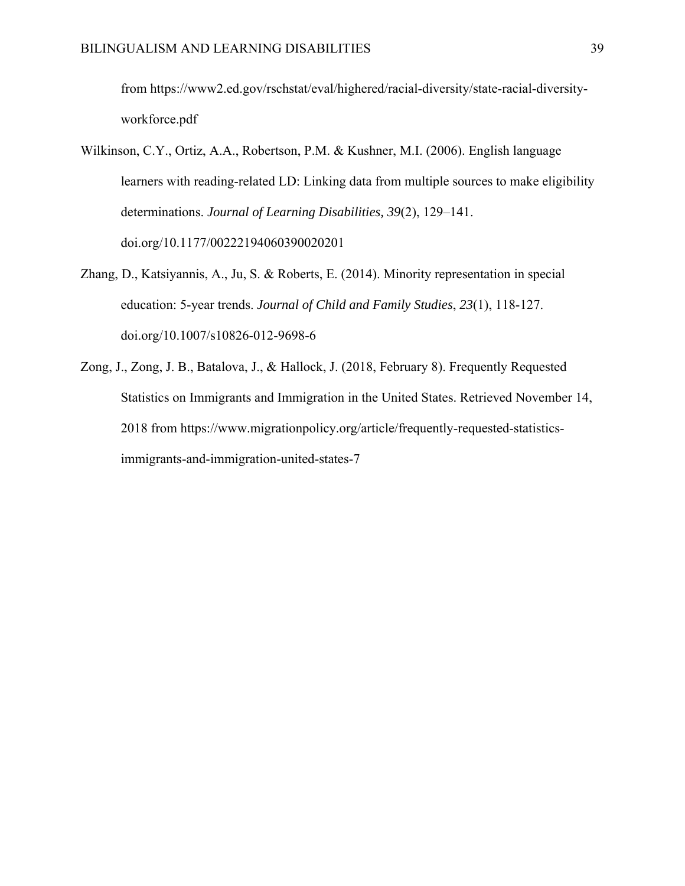from https://www2.ed.gov/rschstat/eval/highered/racial-diversity/state-racial-diversityworkforce.pdf

- Wilkinson, C.Y., Ortiz, A.A., Robertson, P.M. & Kushner, M.I. (2006). English language learners with reading-related LD: Linking data from multiple sources to make eligibility determinations. *Journal of Learning Disabilities, 39*(2), 129–141. doi.org/10.1177/00222194060390020201
- Zhang, D., Katsiyannis, A., Ju, S. & Roberts, E. (2014). Minority representation in special education: 5-year trends. *Journal of Child and Family Studies*, *23*(1), 118-127. doi.org/10.1007/s10826-012-9698-6
- Zong, J., Zong, J. B., Batalova, J., & Hallock, J. (2018, February 8). Frequently Requested Statistics on Immigrants and Immigration in the United States. Retrieved November 14, 2018 from https://www.migrationpolicy.org/article/frequently-requested-statisticsimmigrants-and-immigration-united-states-7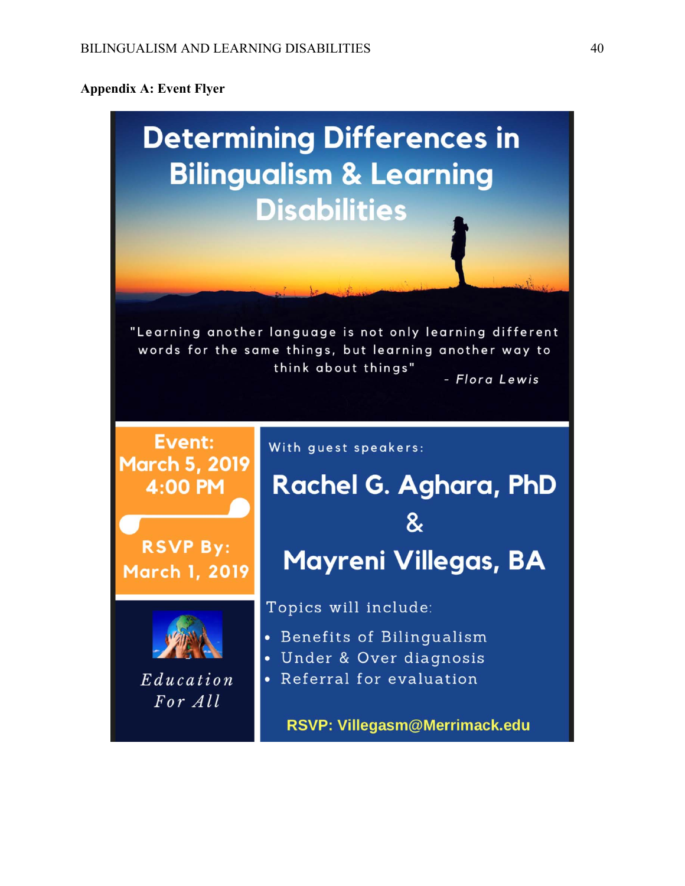# **Appendix A: Event Flyer**

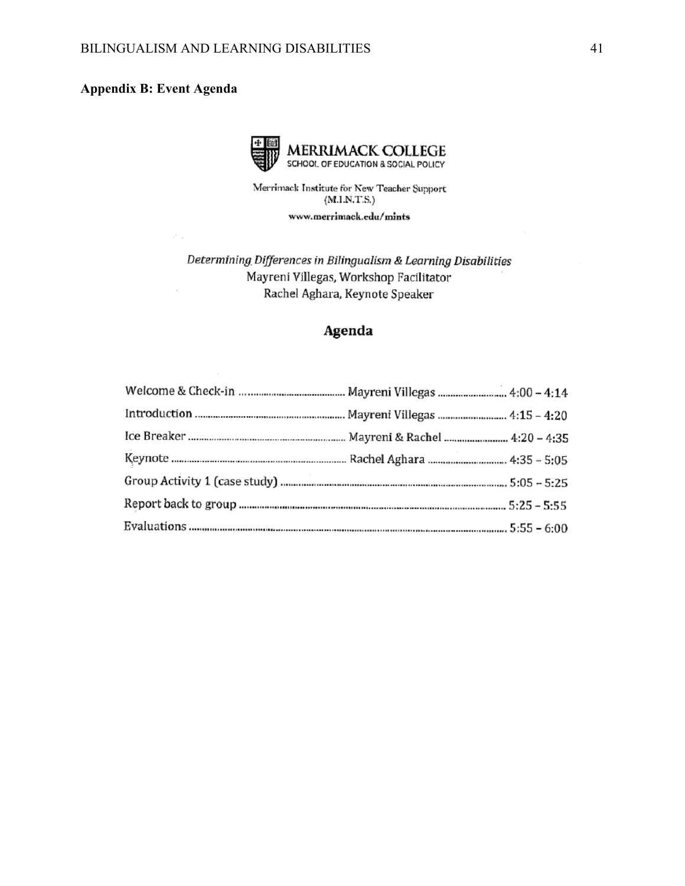# **Appendix B: Event Agenda**

×,

 $\sim$ 



Merrimack Institute for New Teacher Support  $(M.I.N.T.S.)$ 

www.merrimack.edu/mints

Determining Differences in Bilingualism & Learning Disabilities Mayreni Villegas, Workshop Facilitator Rachel Aghara, Keynote Speaker

# Agenda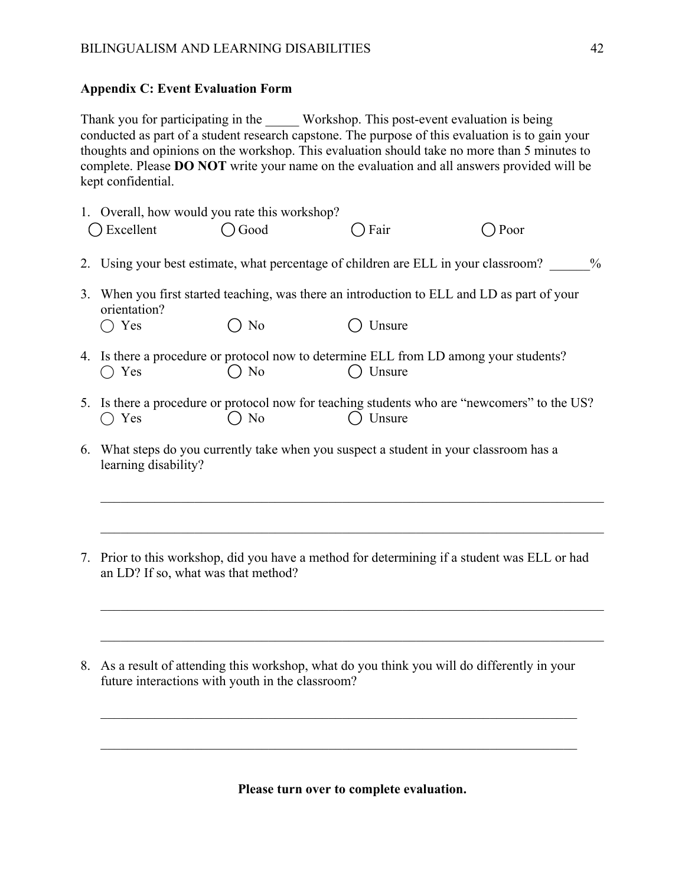# **Appendix C: Event Evaluation Form**

Thank you for participating in the Workshop. This post-event evaluation is being conducted as part of a student research capstone. The purpose of this evaluation is to gain your thoughts and opinions on the workshop. This evaluation should take no more than 5 minutes to complete. Please **DO NOT** write your name on the evaluation and all answers provided will be kept confidential.

|    | Excellent            | 1. Overall, how would you rate this workshop?<br>Good | Fair                                                                                                   | Poor |
|----|----------------------|-------------------------------------------------------|--------------------------------------------------------------------------------------------------------|------|
|    |                      |                                                       | 2. Using your best estimate, what percentage of children are ELL in your classroom?                    | $\%$ |
| 3. | orientation?         |                                                       | When you first started teaching, was there an introduction to ELL and LD as part of your               |      |
|    | Yes                  | N <sub>o</sub>                                        | Unsure                                                                                                 |      |
|    | Yes                  | $\bigcirc$ No                                         | 4. Is there a procedure or protocol now to determine ELL from LD among your students?<br>Unsure        |      |
|    | Yes                  | N <sub>o</sub>                                        | 5. Is there a procedure or protocol now for teaching students who are "newcomers" to the US?<br>Unsure |      |
|    | learning disability? |                                                       | 6. What steps do you currently take when you suspect a student in your classroom has a                 |      |

- 7. Prior to this workshop, did you have a method for determining if a student was ELL or had an LD? If so, what was that method?
- 8. As a result of attending this workshop, what do you think you will do differently in your future interactions with youth in the classroom?

**Please turn over to complete evaluation.** 

 $\mathcal{L}_\mathcal{L} = \mathcal{L}_\mathcal{L} = \mathcal{L}_\mathcal{L} = \mathcal{L}_\mathcal{L} = \mathcal{L}_\mathcal{L} = \mathcal{L}_\mathcal{L} = \mathcal{L}_\mathcal{L} = \mathcal{L}_\mathcal{L} = \mathcal{L}_\mathcal{L} = \mathcal{L}_\mathcal{L} = \mathcal{L}_\mathcal{L} = \mathcal{L}_\mathcal{L} = \mathcal{L}_\mathcal{L} = \mathcal{L}_\mathcal{L} = \mathcal{L}_\mathcal{L} = \mathcal{L}_\mathcal{L} = \mathcal{L}_\mathcal{L}$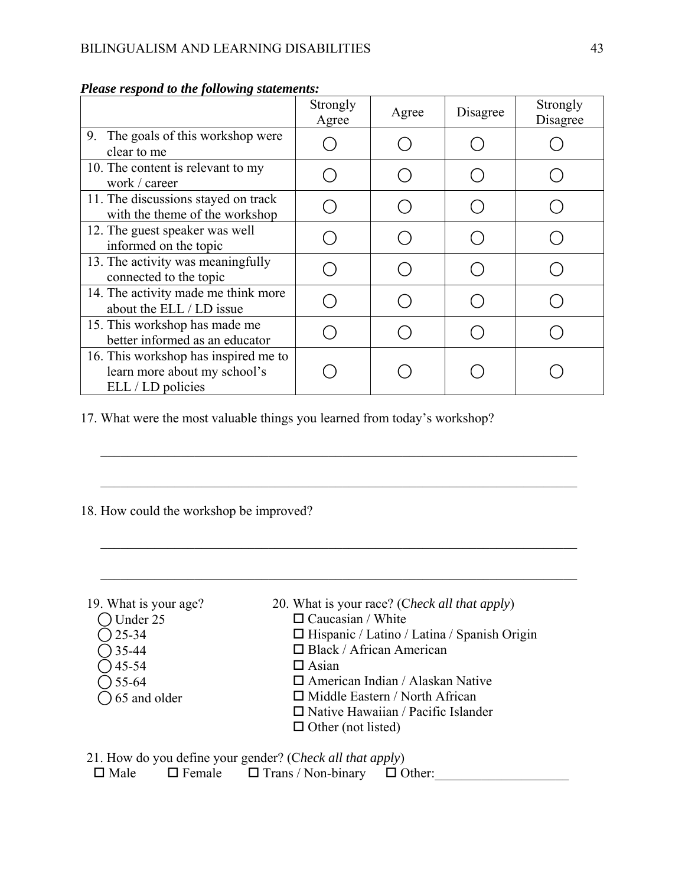|                                                                                           | Strongly<br>Agree | Agree | Disagree | Strongly<br>Disagree |
|-------------------------------------------------------------------------------------------|-------------------|-------|----------|----------------------|
| The goals of this workshop were<br>9.<br>clear to me                                      |                   |       |          |                      |
| 10. The content is relevant to my<br>work / career                                        |                   |       |          |                      |
| 11. The discussions stayed on track<br>with the theme of the workshop                     |                   |       |          |                      |
| 12. The guest speaker was well<br>informed on the topic                                   |                   |       |          |                      |
| 13. The activity was meaningfully<br>connected to the topic                               |                   |       |          |                      |
| 14. The activity made me think more<br>about the ELL / LD issue                           |                   |       |          |                      |
| 15. This workshop has made me<br>better informed as an educator                           |                   |       |          |                      |
| 16. This workshop has inspired me to<br>learn more about my school's<br>ELL / LD policies |                   |       |          |                      |

# *Please respond to the following statements:*

17. What were the most valuable things you learned from today's workshop?

# 18. How could the workshop be improved?

| 19. What is your age?   | 20. What is your race? (Check all that apply)      |
|-------------------------|----------------------------------------------------|
| Under 25                | $\Box$ Caucasian / White                           |
| $25 - 34$               | $\Box$ Hispanic / Latino / Latina / Spanish Origin |
| $35-44$                 | $\Box$ Black / African American                    |
| $\big)$ 45-54           | $\Box$ Asian                                       |
| $) 55 - 64$             | $\Box$ American Indian / Alaskan Native            |
| $\bigcirc$ 65 and older | $\Box$ Middle Eastern / North African              |
|                         | $\Box$ Native Hawaiian / Pacific Islander          |
|                         | $\Box$ Other (not listed)                          |
|                         |                                                    |

\_\_\_\_\_\_\_\_\_\_\_\_\_\_\_\_\_\_\_\_\_\_\_\_\_\_\_\_\_\_\_\_\_\_\_\_\_\_\_\_\_\_\_\_\_\_\_\_\_\_\_\_\_\_\_\_\_\_\_\_\_\_\_\_\_\_\_\_\_\_\_

21. How do you define your gender? (C*heck all that apply*)  $\square$  Male  $\square$  Female  $\square$  Trans / Non-binary  $\square$  Other: